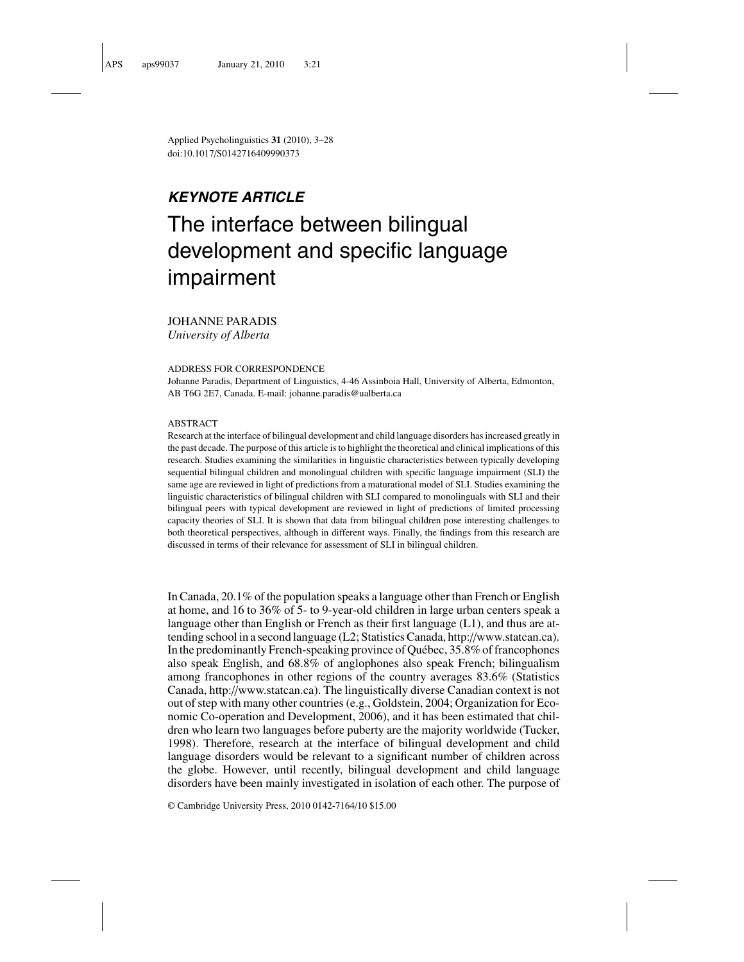Applied Psycholinguistics **31** (2010), 3–28 doi:10.1017/S0142716409990373

## **KEYNOTE ARTICLE**

# The interface between bilingual development and specific language impairment

### JOHANNE PARADIS

*University of Alberta*

#### ADDRESS FOR CORRESPONDENCE

Johanne Paradis, Department of Linguistics, 4-46 Assinboia Hall, University of Alberta, Edmonton, AB T6G 2E7, Canada. E-mail: johanne.paradis@ualberta.ca

#### ABSTRACT

Research at the interface of bilingual development and child language disorders has increased greatly in the past decade. The purpose of this article is to highlight the theoretical and clinical implications of this research. Studies examining the similarities in linguistic characteristics between typically developing sequential bilingual children and monolingual children with specific language impairment (SLI) the same age are reviewed in light of predictions from a maturational model of SLI. Studies examining the linguistic characteristics of bilingual children with SLI compared to monolinguals with SLI and their bilingual peers with typical development are reviewed in light of predictions of limited processing capacity theories of SLI. It is shown that data from bilingual children pose interesting challenges to both theoretical perspectives, although in different ways. Finally, the findings from this research are discussed in terms of their relevance for assessment of SLI in bilingual children.

In Canada, 20.1% of the population speaks a language other than French or English at home, and 16 to 36% of 5- to 9-year-old children in large urban centers speak a language other than English or French as their first language (L1), and thus are attending school in a second language (L2; Statistics Canada, http://www.statcan.ca). In the predominantly French-speaking province of Québec, 35.8% of francophones also speak English, and 68.8% of anglophones also speak French; bilingualism among francophones in other regions of the country averages 83.6% (Statistics Canada, http://www.statcan.ca). The linguistically diverse Canadian context is not out of step with many other countries (e.g., Goldstein, 2004; Organization for Economic Co-operation and Development, 2006), and it has been estimated that children who learn two languages before puberty are the majority worldwide (Tucker, 1998). Therefore, research at the interface of bilingual development and child language disorders would be relevant to a significant number of children across the globe. However, until recently, bilingual development and child language disorders have been mainly investigated in isolation of each other. The purpose of

© Cambridge University Press, 2010 0142-7164/10 \$15.00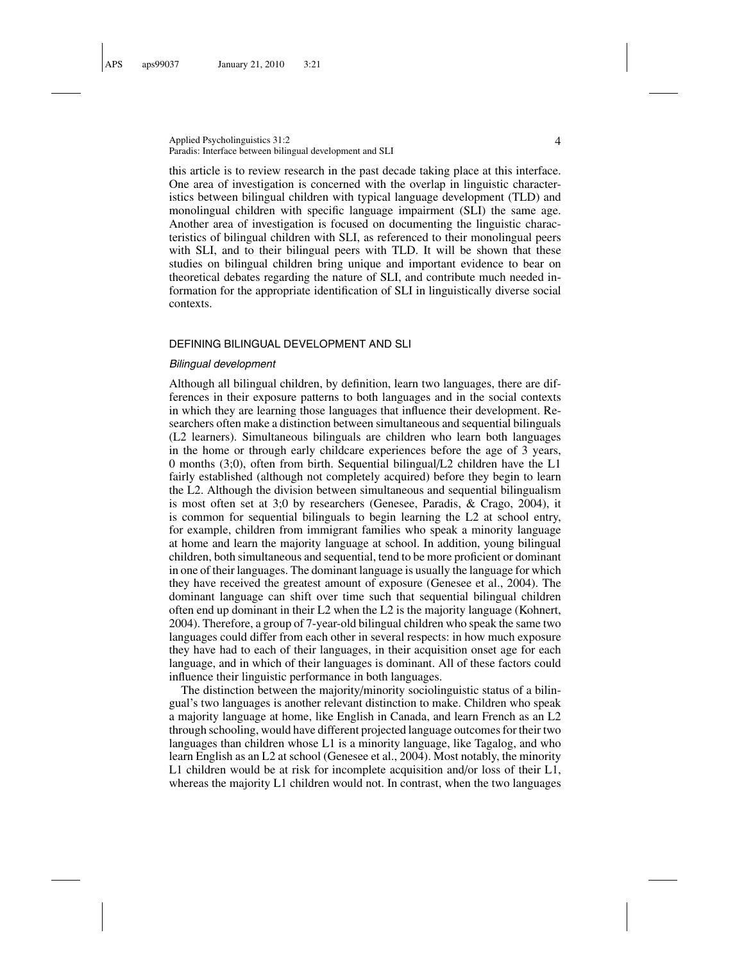#### Applied Psycholinguistics 31:2 4 Paradis: Interface between bilingual development and SLI

this article is to review research in the past decade taking place at this interface. One area of investigation is concerned with the overlap in linguistic characteristics between bilingual children with typical language development (TLD) and monolingual children with specific language impairment (SLI) the same age. Another area of investigation is focused on documenting the linguistic characteristics of bilingual children with SLI, as referenced to their monolingual peers with SLI, and to their bilingual peers with TLD. It will be shown that these studies on bilingual children bring unique and important evidence to bear on theoretical debates regarding the nature of SLI, and contribute much needed information for the appropriate identification of SLI in linguistically diverse social contexts.

#### DEFINING BILINGUAL DEVELOPMENT AND SLI

#### Bilingual development

Although all bilingual children, by definition, learn two languages, there are differences in their exposure patterns to both languages and in the social contexts in which they are learning those languages that influence their development. Researchers often make a distinction between simultaneous and sequential bilinguals (L2 learners). Simultaneous bilinguals are children who learn both languages in the home or through early childcare experiences before the age of 3 years, 0 months (3;0), often from birth. Sequential bilingual/L2 children have the L1 fairly established (although not completely acquired) before they begin to learn the L2. Although the division between simultaneous and sequential bilingualism is most often set at 3;0 by researchers (Genesee, Paradis, & Crago, 2004), it is common for sequential bilinguals to begin learning the L2 at school entry, for example, children from immigrant families who speak a minority language at home and learn the majority language at school. In addition, young bilingual children, both simultaneous and sequential, tend to be more proficient or dominant in one of their languages. The dominant language is usually the language for which they have received the greatest amount of exposure (Genesee et al., 2004). The dominant language can shift over time such that sequential bilingual children often end up dominant in their L2 when the L2 is the majority language (Kohnert, 2004). Therefore, a group of 7-year-old bilingual children who speak the same two languages could differ from each other in several respects: in how much exposure they have had to each of their languages, in their acquisition onset age for each language, and in which of their languages is dominant. All of these factors could influence their linguistic performance in both languages.

The distinction between the majority/minority sociolinguistic status of a bilingual's two languages is another relevant distinction to make. Children who speak a majority language at home, like English in Canada, and learn French as an L2 through schooling, would have different projected language outcomes for their two languages than children whose L1 is a minority language, like Tagalog, and who learn English as an L2 at school (Genesee et al., 2004). Most notably, the minority L1 children would be at risk for incomplete acquisition and/or loss of their L1, whereas the majority L1 children would not. In contrast, when the two languages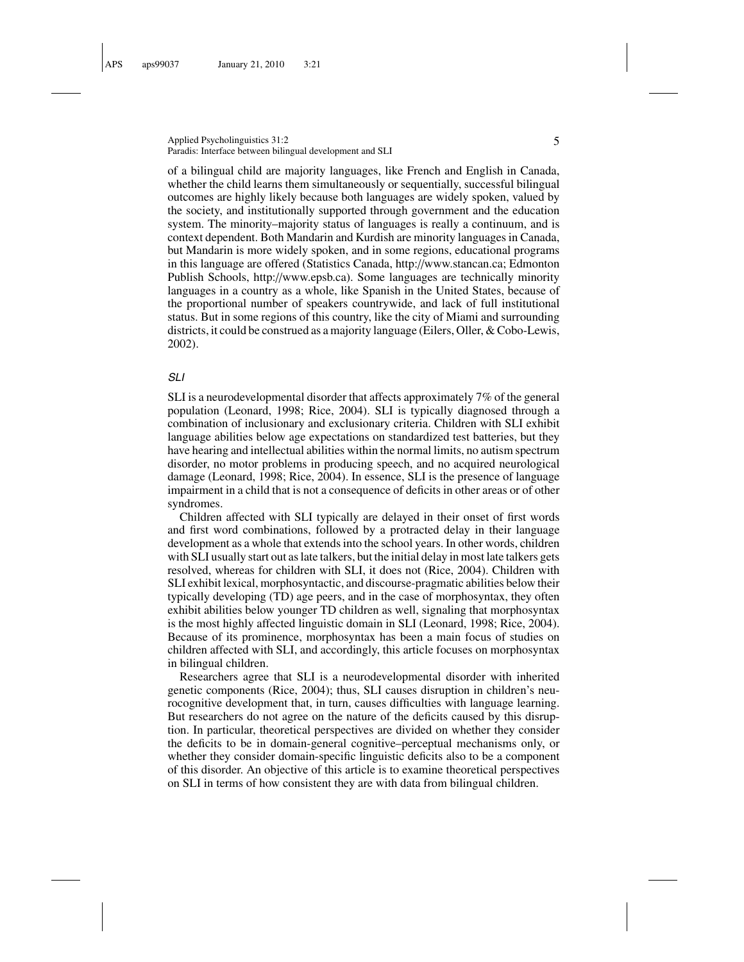#### Applied Psycholinguistics 31:2 5 Paradis: Interface between bilingual development and SLI

of a bilingual child are majority languages, like French and English in Canada, whether the child learns them simultaneously or sequentially, successful bilingual outcomes are highly likely because both languages are widely spoken, valued by the society, and institutionally supported through government and the education system. The minority–majority status of languages is really a continuum, and is context dependent. Both Mandarin and Kurdish are minority languages in Canada, but Mandarin is more widely spoken, and in some regions, educational programs in this language are offered (Statistics Canada, http://www.stancan.ca; Edmonton Publish Schools, http://www.epsb.ca). Some languages are technically minority languages in a country as a whole, like Spanish in the United States, because of the proportional number of speakers countrywide, and lack of full institutional status. But in some regions of this country, like the city of Miami and surrounding districts, it could be construed as a majority language (Eilers, Oller, & Cobo-Lewis, 2002).

#### SLI

SLI is a neurodevelopmental disorder that affects approximately 7% of the general population (Leonard, 1998; Rice, 2004). SLI is typically diagnosed through a combination of inclusionary and exclusionary criteria. Children with SLI exhibit language abilities below age expectations on standardized test batteries, but they have hearing and intellectual abilities within the normal limits, no autism spectrum disorder, no motor problems in producing speech, and no acquired neurological damage (Leonard, 1998; Rice, 2004). In essence, SLI is the presence of language impairment in a child that is not a consequence of deficits in other areas or of other syndromes.

Children affected with SLI typically are delayed in their onset of first words and first word combinations, followed by a protracted delay in their language development as a whole that extends into the school years. In other words, children with SLI usually start out as late talkers, but the initial delay in most late talkers gets resolved, whereas for children with SLI, it does not (Rice, 2004). Children with SLI exhibit lexical, morphosyntactic, and discourse-pragmatic abilities below their typically developing (TD) age peers, and in the case of morphosyntax, they often exhibit abilities below younger TD children as well, signaling that morphosyntax is the most highly affected linguistic domain in SLI (Leonard, 1998; Rice, 2004). Because of its prominence, morphosyntax has been a main focus of studies on children affected with SLI, and accordingly, this article focuses on morphosyntax in bilingual children.

Researchers agree that SLI is a neurodevelopmental disorder with inherited genetic components (Rice, 2004); thus, SLI causes disruption in children's neurocognitive development that, in turn, causes difficulties with language learning. But researchers do not agree on the nature of the deficits caused by this disruption. In particular, theoretical perspectives are divided on whether they consider the deficits to be in domain-general cognitive–perceptual mechanisms only, or whether they consider domain-specific linguistic deficits also to be a component of this disorder. An objective of this article is to examine theoretical perspectives on SLI in terms of how consistent they are with data from bilingual children.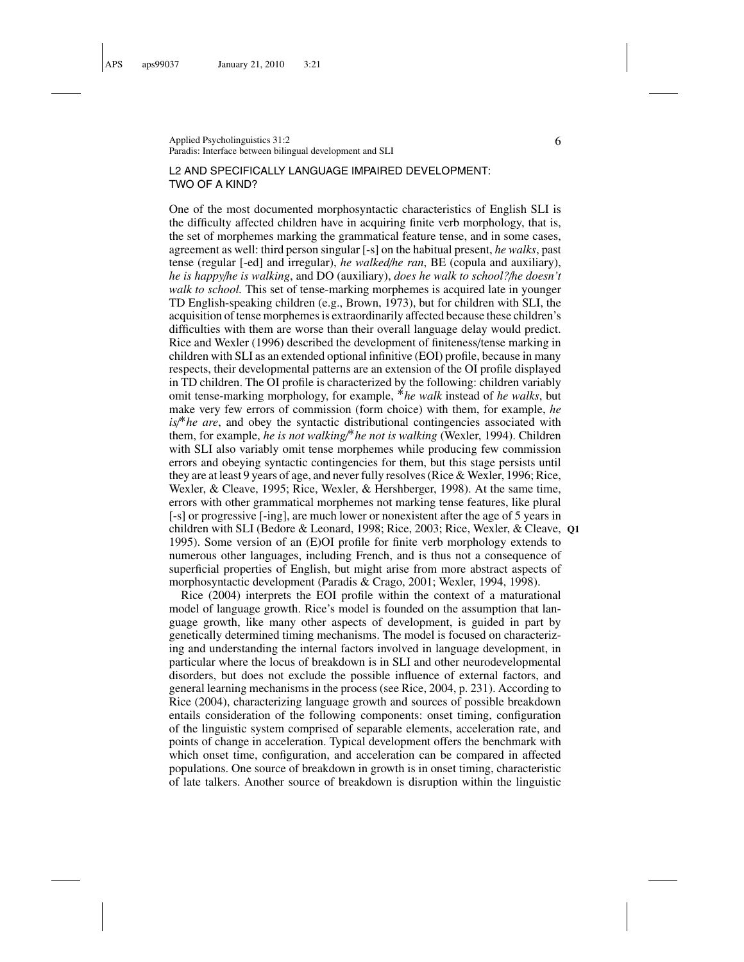#### Applied Psycholinguistics 31:2 6 Paradis: Interface between bilingual development and SLI

#### L2 AND SPECIFICALLY LANGUAGE IMPAIRED DEVELOPMENT: TWO OF A KIND?

One of the most documented morphosyntactic characteristics of English SLI is the difficulty affected children have in acquiring finite verb morphology, that is, the set of morphemes marking the grammatical feature tense, and in some cases, agreement as well: third person singular [-s] on the habitual present, *he walks*, past tense (regular [-ed] and irregular), *he walked*/*he ran*, BE (copula and auxiliary), *he is happy*/*he is walking*, and DO (auxiliary), *does he walk to school?*/*he doesn't walk to school.* This set of tense-marking morphemes is acquired late in younger TD English-speaking children (e.g., Brown, 1973), but for children with SLI, the acquisition of tense morphemes is extraordinarily affected because these children's difficulties with them are worse than their overall language delay would predict. Rice and Wexler (1996) described the development of finiteness/tense marking in children with SLI as an extended optional infinitive (EOI) profile, because in many respects, their developmental patterns are an extension of the OI profile displayed in TD children. The OI profile is characterized by the following: children variably omit tense-marking morphology, for example, ∗*he walk* instead of *he walks*, but make very few errors of commission (form choice) with them, for example, *he is*/<sup>\*</sup>*he are*, and obey the syntactic distributional contingencies associated with them, for example, *he is not walking*/ ∗*he not is walking* (Wexler, 1994). Children with SLI also variably omit tense morphemes while producing few commission errors and obeying syntactic contingencies for them, but this stage persists until they are at least 9 years of age, and never fully resolves (Rice & Wexler, 1996; Rice, Wexler, & Cleave, 1995; Rice, Wexler, & Hershberger, 1998). At the same time, errors with other grammatical morphemes not marking tense features, like plural [-s] or progressive [-ing], are much lower or nonexistent after the age of 5 years in children with SLI (Bedore & Leonard, 1998; Rice, 2003; Rice, Wexler, & Cleave, **Q1** 1995). Some version of an (E)OI profile for finite verb morphology extends to numerous other languages, including French, and is thus not a consequence of superficial properties of English, but might arise from more abstract aspects of morphosyntactic development (Paradis & Crago, 2001; Wexler, 1994, 1998).

Rice (2004) interprets the EOI profile within the context of a maturational model of language growth. Rice's model is founded on the assumption that language growth, like many other aspects of development, is guided in part by genetically determined timing mechanisms. The model is focused on characterizing and understanding the internal factors involved in language development, in particular where the locus of breakdown is in SLI and other neurodevelopmental disorders, but does not exclude the possible influence of external factors, and general learning mechanisms in the process (see Rice, 2004, p. 231). According to Rice (2004), characterizing language growth and sources of possible breakdown entails consideration of the following components: onset timing, configuration of the linguistic system comprised of separable elements, acceleration rate, and points of change in acceleration. Typical development offers the benchmark with which onset time, configuration, and acceleration can be compared in affected populations. One source of breakdown in growth is in onset timing, characteristic of late talkers. Another source of breakdown is disruption within the linguistic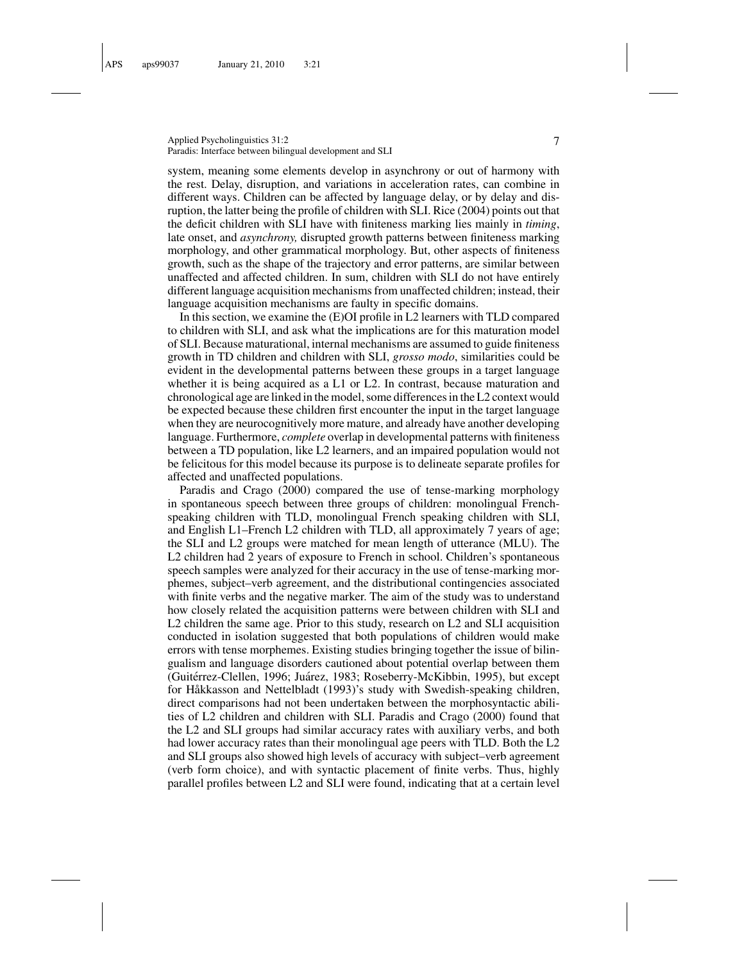#### Applied Psycholinguistics 31:2 7 Paradis: Interface between bilingual development and SLI

system, meaning some elements develop in asynchrony or out of harmony with the rest. Delay, disruption, and variations in acceleration rates, can combine in different ways. Children can be affected by language delay, or by delay and disruption, the latter being the profile of children with SLI. Rice (2004) points out that the deficit children with SLI have with finiteness marking lies mainly in *timing*, late onset, and *asynchrony,* disrupted growth patterns between finiteness marking morphology, and other grammatical morphology. But, other aspects of finiteness growth, such as the shape of the trajectory and error patterns, are similar between unaffected and affected children. In sum, children with SLI do not have entirely different language acquisition mechanisms from unaffected children; instead, their language acquisition mechanisms are faulty in specific domains.

In this section, we examine the (E)OI profile in L2 learners with TLD compared to children with SLI, and ask what the implications are for this maturation model of SLI. Because maturational, internal mechanisms are assumed to guide finiteness growth in TD children and children with SLI, *grosso modo*, similarities could be evident in the developmental patterns between these groups in a target language whether it is being acquired as a L1 or L2. In contrast, because maturation and chronological age are linked in the model, some differences in the L2 context would be expected because these children first encounter the input in the target language when they are neurocognitively more mature, and already have another developing language. Furthermore, *complete* overlap in developmental patterns with finiteness between a TD population, like L2 learners, and an impaired population would not be felicitous for this model because its purpose is to delineate separate profiles for affected and unaffected populations.

Paradis and Crago (2000) compared the use of tense-marking morphology in spontaneous speech between three groups of children: monolingual Frenchspeaking children with TLD, monolingual French speaking children with SLI, and English L1–French L2 children with TLD, all approximately 7 years of age; the SLI and L2 groups were matched for mean length of utterance (MLU). The L2 children had 2 years of exposure to French in school. Children's spontaneous speech samples were analyzed for their accuracy in the use of tense-marking morphemes, subject–verb agreement, and the distributional contingencies associated with finite verbs and the negative marker. The aim of the study was to understand how closely related the acquisition patterns were between children with SLI and L2 children the same age. Prior to this study, research on L2 and SLI acquisition conducted in isolation suggested that both populations of children would make errors with tense morphemes. Existing studies bringing together the issue of bilingualism and language disorders cautioned about potential overlap between them (Guitérrez-Clellen, 1996; Juárez, 1983; Roseberry-McKibbin, 1995), but except for Håkkasson and Nettelbladt (1993)'s study with Swedish-speaking children, direct comparisons had not been undertaken between the morphosyntactic abilities of L2 children and children with SLI. Paradis and Crago (2000) found that the L2 and SLI groups had similar accuracy rates with auxiliary verbs, and both had lower accuracy rates than their monolingual age peers with TLD. Both the L2 and SLI groups also showed high levels of accuracy with subject–verb agreement (verb form choice), and with syntactic placement of finite verbs. Thus, highly parallel profiles between L2 and SLI were found, indicating that at a certain level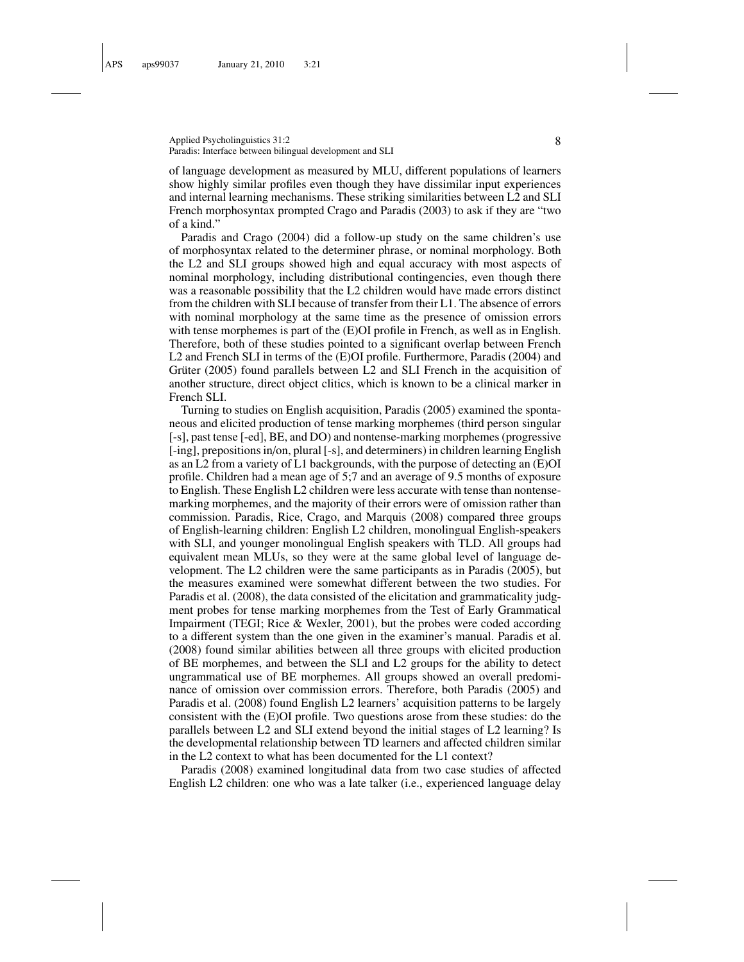#### Applied Psycholinguistics 31:2 8 Paradis: Interface between bilingual development and SLI

of language development as measured by MLU, different populations of learners show highly similar profiles even though they have dissimilar input experiences and internal learning mechanisms. These striking similarities between L2 and SLI French morphosyntax prompted Crago and Paradis (2003) to ask if they are "two of a kind."

Paradis and Crago (2004) did a follow-up study on the same children's use of morphosyntax related to the determiner phrase, or nominal morphology. Both the L2 and SLI groups showed high and equal accuracy with most aspects of nominal morphology, including distributional contingencies, even though there was a reasonable possibility that the L2 children would have made errors distinct from the children with SLI because of transfer from their L1. The absence of errors with nominal morphology at the same time as the presence of omission errors with tense morphemes is part of the (E)OI profile in French, as well as in English. Therefore, both of these studies pointed to a significant overlap between French L2 and French SLI in terms of the (E)OI profile. Furthermore, Paradis (2004) and Grüter  $(2005)$  found parallels between L2 and SLI French in the acquisition of another structure, direct object clitics, which is known to be a clinical marker in French SLI.

Turning to studies on English acquisition, Paradis (2005) examined the spontaneous and elicited production of tense marking morphemes (third person singular [-s], past tense [-ed], BE, and DO) and nontense-marking morphemes (progressive [-ing], prepositions in/on, plural [-s], and determiners) in children learning English as an L2 from a variety of L1 backgrounds, with the purpose of detecting an (E)OI profile. Children had a mean age of 5;7 and an average of 9.5 months of exposure to English. These English L2 children were less accurate with tense than nontensemarking morphemes, and the majority of their errors were of omission rather than commission. Paradis, Rice, Crago, and Marquis (2008) compared three groups of English-learning children: English L2 children, monolingual English-speakers with SLI, and younger monolingual English speakers with TLD. All groups had equivalent mean MLUs, so they were at the same global level of language development. The L2 children were the same participants as in Paradis (2005), but the measures examined were somewhat different between the two studies. For Paradis et al. (2008), the data consisted of the elicitation and grammaticality judgment probes for tense marking morphemes from the Test of Early Grammatical Impairment (TEGI; Rice & Wexler, 2001), but the probes were coded according to a different system than the one given in the examiner's manual. Paradis et al. (2008) found similar abilities between all three groups with elicited production of BE morphemes, and between the SLI and L2 groups for the ability to detect ungrammatical use of BE morphemes. All groups showed an overall predominance of omission over commission errors. Therefore, both Paradis (2005) and Paradis et al. (2008) found English L2 learners' acquisition patterns to be largely consistent with the (E)OI profile. Two questions arose from these studies: do the parallels between L2 and SLI extend beyond the initial stages of L2 learning? Is the developmental relationship between TD learners and affected children similar in the L2 context to what has been documented for the L1 context?

Paradis (2008) examined longitudinal data from two case studies of affected English L2 children: one who was a late talker (i.e., experienced language delay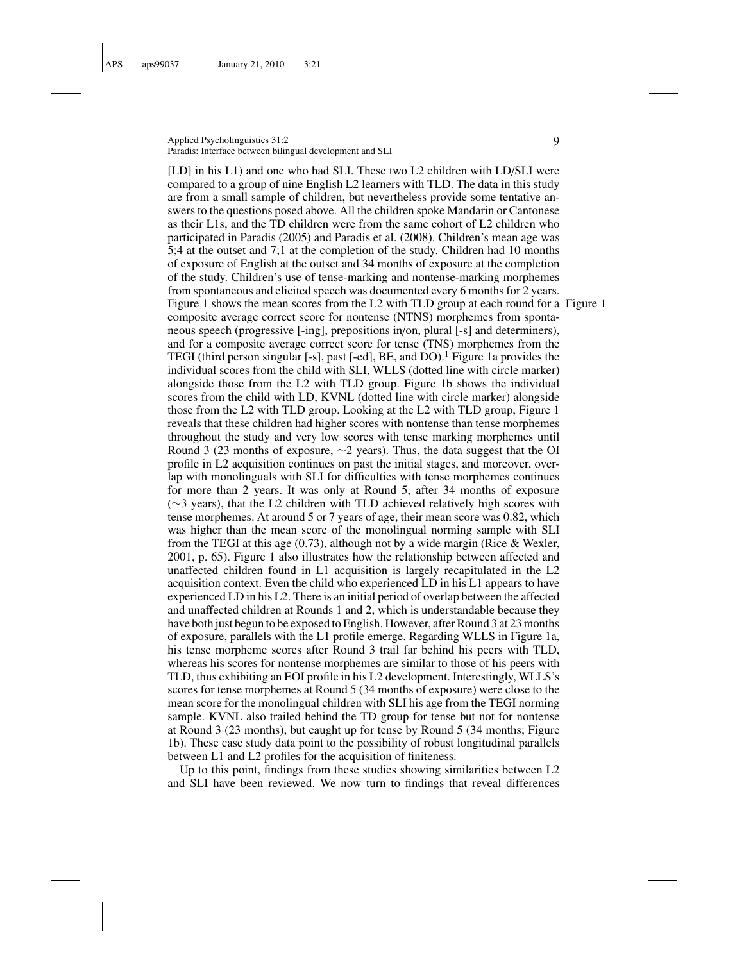#### Applied Psycholinguistics 31:2 9 Paradis: Interface between bilingual development and SLI

[LD] in his L1) and one who had SLI. These two L2 children with LD/SLI were compared to a group of nine English L2 learners with TLD. The data in this study are from a small sample of children, but nevertheless provide some tentative answers to the questions posed above. All the children spoke Mandarin or Cantonese as their L1s, and the TD children were from the same cohort of L2 children who participated in Paradis (2005) and Paradis et al. (2008). Children's mean age was 5;4 at the outset and 7;1 at the completion of the study. Children had 10 months of exposure of English at the outset and 34 months of exposure at the completion of the study. Children's use of tense-marking and nontense-marking morphemes from spontaneous and elicited speech was documented every 6 months for 2 years. Figure 1 shows the mean scores from the L2 with TLD group at each round for a Figure 1 composite average correct score for nontense (NTNS) morphemes from spontaneous speech (progressive [-ing], prepositions in/on, plural [-s] and determiners), and for a composite average correct score for tense (TNS) morphemes from the TEGI (third person singular [-s], past [-ed], BE, and DO).<sup>1</sup> Figure 1a provides the individual scores from the child with SLI, WLLS (dotted line with circle marker) alongside those from the L2 with TLD group. Figure 1b shows the individual scores from the child with LD, KVNL (dotted line with circle marker) alongside those from the L2 with TLD group. Looking at the L2 with TLD group, Figure 1 reveals that these children had higher scores with nontense than tense morphemes throughout the study and very low scores with tense marking morphemes until Round 3 (23 months of exposure, ∼2 years). Thus, the data suggest that the OI profile in L2 acquisition continues on past the initial stages, and moreover, overlap with monolinguals with SLI for difficulties with tense morphemes continues for more than 2 years. It was only at Round 5, after 34 months of exposure (∼3 years), that the L2 children with TLD achieved relatively high scores with tense morphemes. At around 5 or 7 years of age, their mean score was 0.82, which was higher than the mean score of the monolingual norming sample with SLI from the TEGI at this age  $(0.73)$ , although not by a wide margin (Rice & Wexler, 2001, p. 65). Figure 1 also illustrates how the relationship between affected and unaffected children found in L1 acquisition is largely recapitulated in the L2 acquisition context. Even the child who experienced LD in his L1 appears to have experienced LD in his L2. There is an initial period of overlap between the affected and unaffected children at Rounds 1 and 2, which is understandable because they have both just begun to be exposed to English. However, after Round 3 at 23 months of exposure, parallels with the L1 profile emerge. Regarding WLLS in Figure 1a, his tense morpheme scores after Round 3 trail far behind his peers with TLD, whereas his scores for nontense morphemes are similar to those of his peers with TLD, thus exhibiting an EOI profile in his L2 development. Interestingly, WLLS's scores for tense morphemes at Round 5 (34 months of exposure) were close to the mean score for the monolingual children with SLI his age from the TEGI norming sample. KVNL also trailed behind the TD group for tense but not for nontense at Round 3 (23 months), but caught up for tense by Round 5 (34 months; Figure 1b). These case study data point to the possibility of robust longitudinal parallels between L1 and L2 profiles for the acquisition of finiteness.

Up to this point, findings from these studies showing similarities between L2 and SLI have been reviewed. We now turn to findings that reveal differences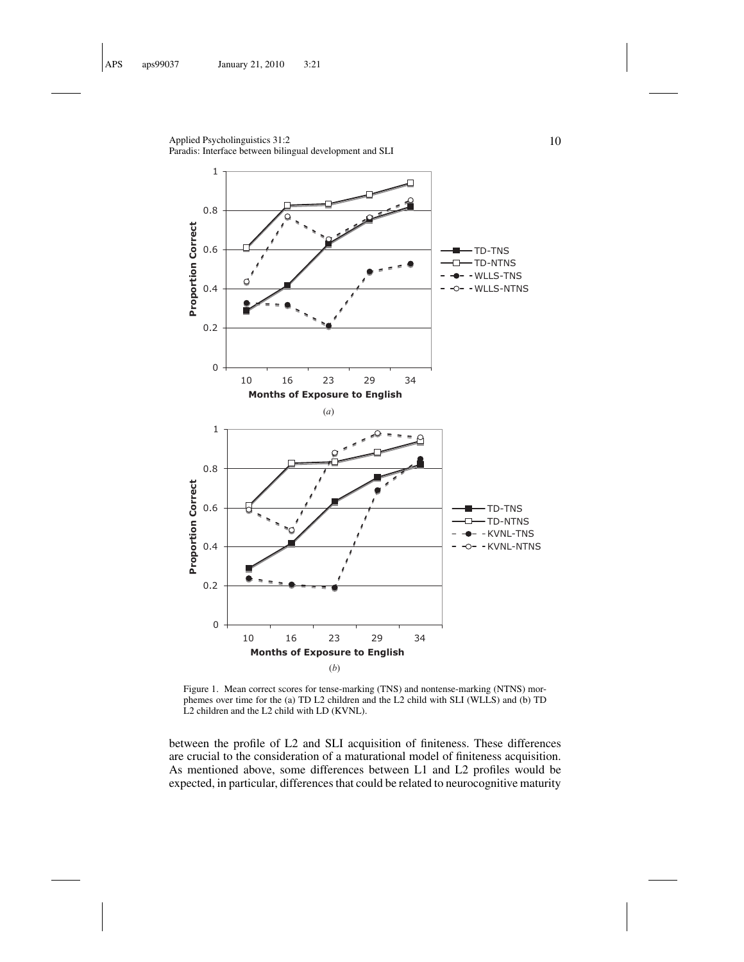



Figure 1. Mean correct scores for tense-marking (TNS) and nontense-marking (NTNS) morphemes over time for the (a) TD L2 children and the L2 child with SLI (WLLS) and (b) TD L2 children and the L2 child with LD (KVNL).

between the profile of L2 and SLI acquisition of finiteness. These differences are crucial to the consideration of a maturational model of finiteness acquisition. As mentioned above, some differences between L1 and L2 profiles would be expected, in particular, differences that could be related to neurocognitive maturity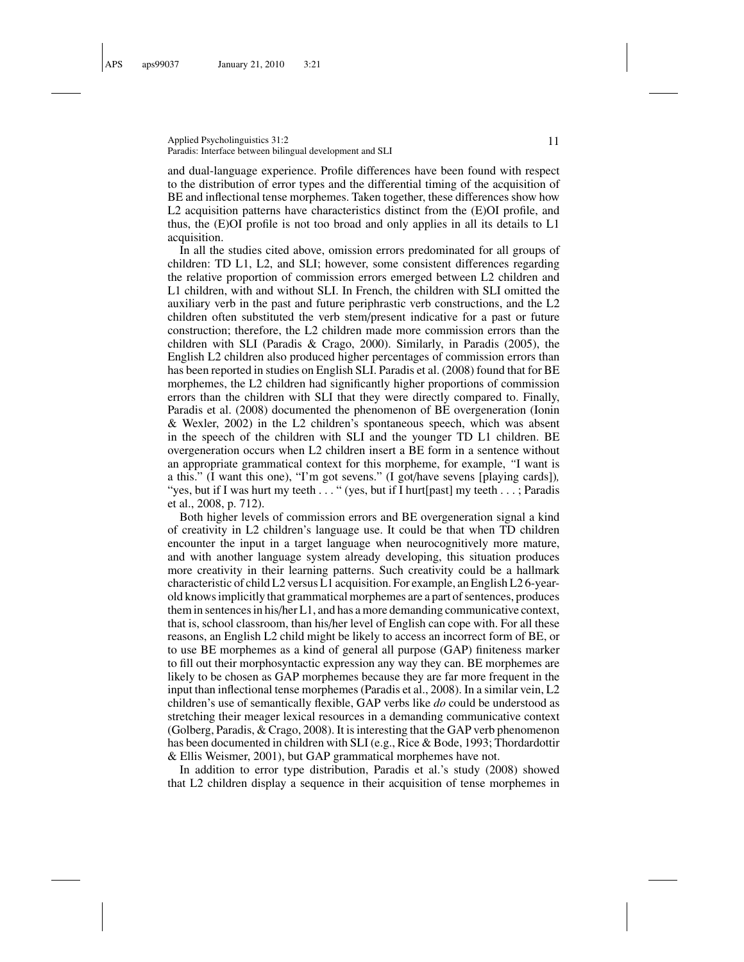#### Applied Psycholinguistics 31:2 11 Paradis: Interface between bilingual development and SLI

and dual-language experience. Profile differences have been found with respect to the distribution of error types and the differential timing of the acquisition of BE and inflectional tense morphemes. Taken together, these differences show how L2 acquisition patterns have characteristics distinct from the (E)OI profile, and thus, the (E)OI profile is not too broad and only applies in all its details to L1 acquisition.

In all the studies cited above, omission errors predominated for all groups of children: TD L1, L2, and SLI; however, some consistent differences regarding the relative proportion of commission errors emerged between L2 children and L1 children, with and without SLI. In French, the children with SLI omitted the auxiliary verb in the past and future periphrastic verb constructions, and the L2 children often substituted the verb stem/present indicative for a past or future construction; therefore, the L2 children made more commission errors than the children with SLI (Paradis & Crago, 2000). Similarly, in Paradis (2005), the English L2 children also produced higher percentages of commission errors than has been reported in studies on English SLI. Paradis et al. (2008) found that for BE morphemes, the L2 children had significantly higher proportions of commission errors than the children with SLI that they were directly compared to. Finally, Paradis et al. (2008) documented the phenomenon of BE overgeneration (Ionin & Wexler, 2002) in the L2 children's spontaneous speech, which was absent in the speech of the children with SLI and the younger TD L1 children. BE overgeneration occurs when L2 children insert a BE form in a sentence without an appropriate grammatical context for this morpheme, for example, *"*I want is a this." (I want this one), "I'm got sevens." (I got/have sevens [playing cards])*,* "yes, but if I was hurt my teeth . . . " (yes, but if I hurt[past] my teeth . . . ; Paradis et al., 2008, p. 712).

Both higher levels of commission errors and BE overgeneration signal a kind of creativity in L2 children's language use. It could be that when TD children encounter the input in a target language when neurocognitively more mature, and with another language system already developing, this situation produces more creativity in their learning patterns. Such creativity could be a hallmark characteristic of child L2 versus L1 acquisition. For example, an English L2 6-yearold knows implicitly that grammatical morphemes are a part of sentences, produces them in sentences in his/her L1, and has a more demanding communicative context, that is, school classroom, than his/her level of English can cope with. For all these reasons, an English L2 child might be likely to access an incorrect form of BE, or to use BE morphemes as a kind of general all purpose (GAP) finiteness marker to fill out their morphosyntactic expression any way they can. BE morphemes are likely to be chosen as GAP morphemes because they are far more frequent in the input than inflectional tense morphemes (Paradis et al., 2008). In a similar vein, L2 children's use of semantically flexible, GAP verbs like *do* could be understood as stretching their meager lexical resources in a demanding communicative context (Golberg, Paradis, & Crago, 2008). It is interesting that the GAP verb phenomenon has been documented in children with SLI (e.g., Rice & Bode, 1993; Thordardottir & Ellis Weismer, 2001), but GAP grammatical morphemes have not.

In addition to error type distribution, Paradis et al.'s study (2008) showed that L2 children display a sequence in their acquisition of tense morphemes in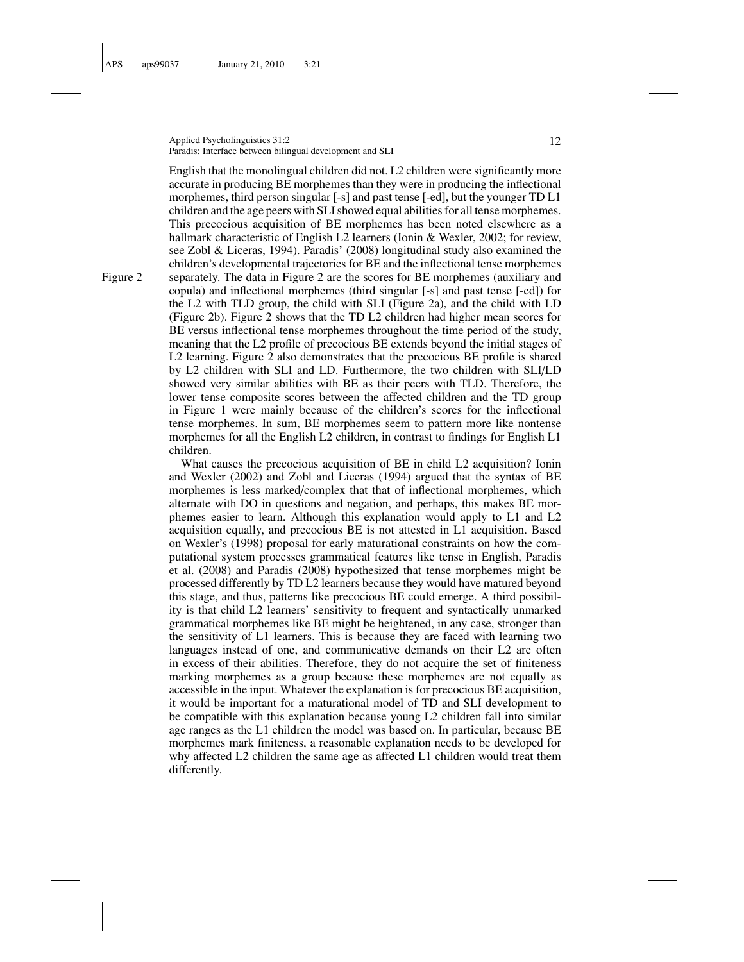#### Applied Psycholinguistics 31:2 12 Paradis: Interface between bilingual development and SLI

English that the monolingual children did not. L2 children were significantly more accurate in producing BE morphemes than they were in producing the inflectional morphemes, third person singular [-s] and past tense [-ed], but the younger TD L1 children and the age peers with SLI showed equal abilities for all tense morphemes. This precocious acquisition of BE morphemes has been noted elsewhere as a hallmark characteristic of English L2 learners (Ionin & Wexler, 2002; for review, see Zobl & Liceras, 1994). Paradis' (2008) longitudinal study also examined the children's developmental trajectories for BE and the inflectional tense morphemes Figure 2 separately. The data in Figure 2 are the scores for BE morphemes (auxiliary and copula) and inflectional morphemes (third singular [-s] and past tense [-ed]) for the L2 with TLD group, the child with SLI (Figure 2a), and the child with LD (Figure 2b). Figure 2 shows that the TD L2 children had higher mean scores for BE versus inflectional tense morphemes throughout the time period of the study, meaning that the L2 profile of precocious BE extends beyond the initial stages of L2 learning. Figure 2 also demonstrates that the precocious BE profile is shared by L2 children with SLI and LD. Furthermore, the two children with SLI/LD showed very similar abilities with BE as their peers with TLD. Therefore, the lower tense composite scores between the affected children and the TD group in Figure 1 were mainly because of the children's scores for the inflectional tense morphemes. In sum, BE morphemes seem to pattern more like nontense morphemes for all the English L2 children, in contrast to findings for English L1 children.

> What causes the precocious acquisition of BE in child L2 acquisition? Ionin and Wexler (2002) and Zobl and Liceras (1994) argued that the syntax of BE morphemes is less marked/complex that that of inflectional morphemes, which alternate with DO in questions and negation, and perhaps, this makes BE morphemes easier to learn. Although this explanation would apply to L1 and L2 acquisition equally, and precocious BE is not attested in L1 acquisition. Based on Wexler's (1998) proposal for early maturational constraints on how the computational system processes grammatical features like tense in English, Paradis et al. (2008) and Paradis (2008) hypothesized that tense morphemes might be processed differently by TD L2 learners because they would have matured beyond this stage, and thus, patterns like precocious BE could emerge. A third possibility is that child L2 learners' sensitivity to frequent and syntactically unmarked grammatical morphemes like BE might be heightened, in any case, stronger than the sensitivity of L1 learners. This is because they are faced with learning two languages instead of one, and communicative demands on their L2 are often in excess of their abilities. Therefore, they do not acquire the set of finiteness marking morphemes as a group because these morphemes are not equally as accessible in the input. Whatever the explanation is for precocious BE acquisition, it would be important for a maturational model of TD and SLI development to be compatible with this explanation because young L2 children fall into similar age ranges as the L1 children the model was based on. In particular, because BE morphemes mark finiteness, a reasonable explanation needs to be developed for why affected L2 children the same age as affected L1 children would treat them differently.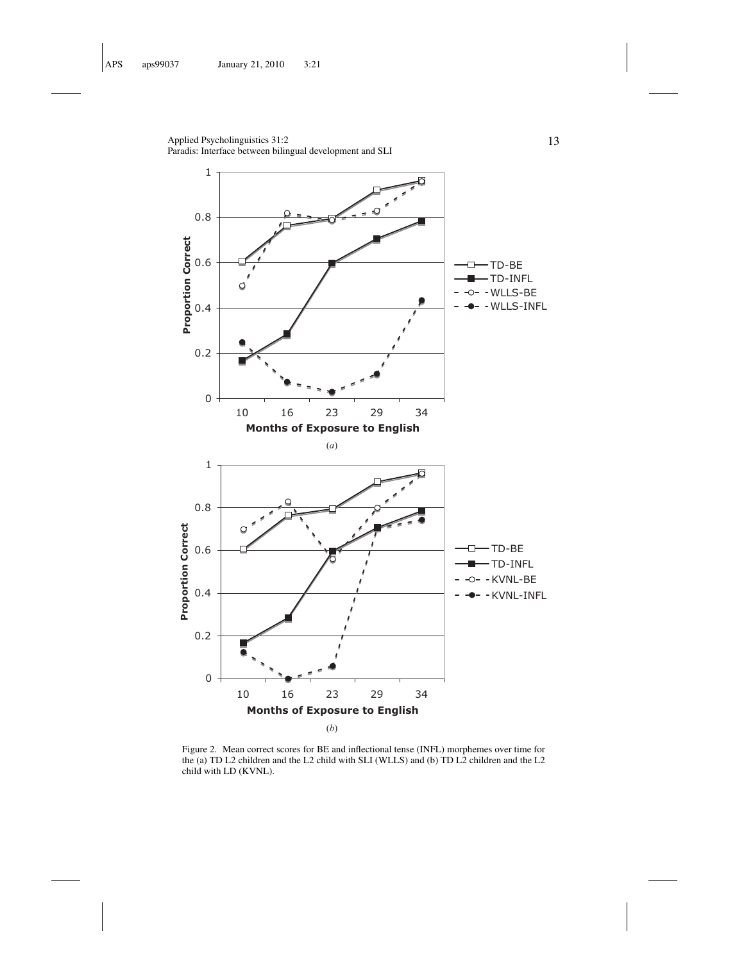



Figure 2. Mean correct scores for BE and inflectional tense (INFL) morphemes over time for the (a) TD L2 children and the L2 child with SLI (WLLS) and (b) TD L2 children and the L2 child with LD (KVNL).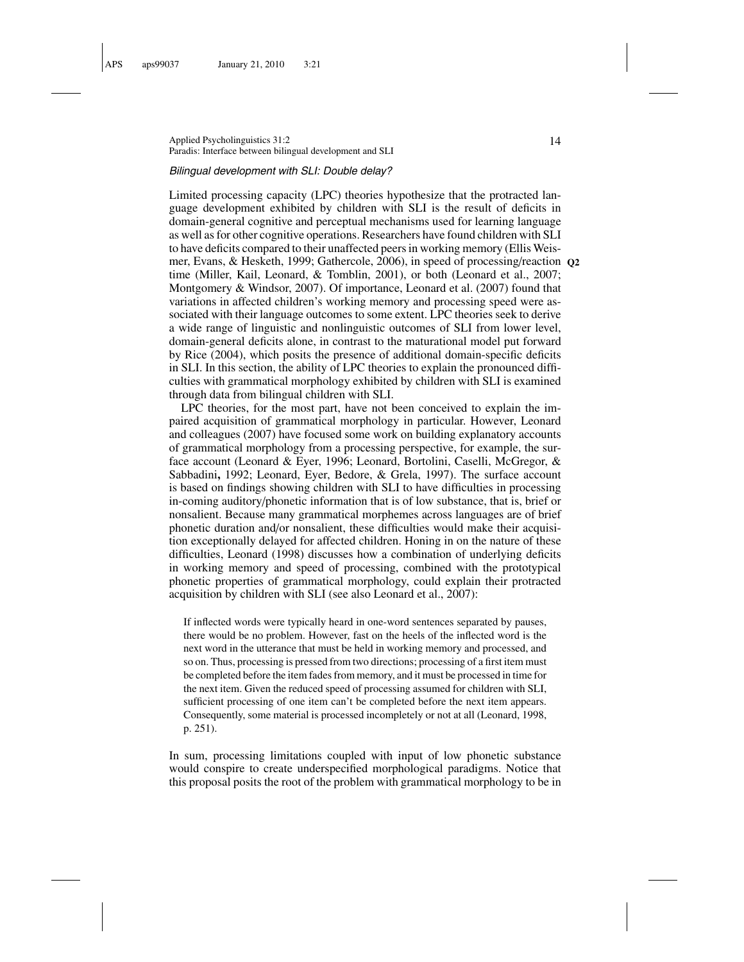Applied Psycholinguistics 31:2 14 Paradis: Interface between bilingual development and SLI

#### Bilingual development with SLI: Double delay?

Limited processing capacity (LPC) theories hypothesize that the protracted language development exhibited by children with SLI is the result of deficits in domain-general cognitive and perceptual mechanisms used for learning language as well as for other cognitive operations. Researchers have found children with SLI to have deficits compared to their unaffected peers in working memory (Ellis Weismer, Evans, & Hesketh, 1999; Gathercole, 2006), in speed of processing/reaction **Q2** time (Miller, Kail, Leonard, & Tomblin, 2001), or both (Leonard et al., 2007; Montgomery & Windsor, 2007). Of importance, Leonard et al. (2007) found that variations in affected children's working memory and processing speed were associated with their language outcomes to some extent. LPC theories seek to derive a wide range of linguistic and nonlinguistic outcomes of SLI from lower level, domain-general deficits alone, in contrast to the maturational model put forward by Rice (2004), which posits the presence of additional domain-specific deficits in SLI. In this section, the ability of LPC theories to explain the pronounced difficulties with grammatical morphology exhibited by children with SLI is examined through data from bilingual children with SLI.

LPC theories, for the most part, have not been conceived to explain the impaired acquisition of grammatical morphology in particular. However, Leonard and colleagues (2007) have focused some work on building explanatory accounts of grammatical morphology from a processing perspective, for example, the surface account (Leonard & Eyer, 1996; Leonard, Bortolini, Caselli, McGregor, & Sabbadini**,** 1992; Leonard, Eyer, Bedore, & Grela, 1997). The surface account is based on findings showing children with SLI to have difficulties in processing in-coming auditory/phonetic information that is of low substance, that is, brief or nonsalient. Because many grammatical morphemes across languages are of brief phonetic duration and/or nonsalient, these difficulties would make their acquisition exceptionally delayed for affected children. Honing in on the nature of these difficulties, Leonard (1998) discusses how a combination of underlying deficits in working memory and speed of processing, combined with the prototypical phonetic properties of grammatical morphology, could explain their protracted acquisition by children with SLI (see also Leonard et al., 2007):

If inflected words were typically heard in one-word sentences separated by pauses, there would be no problem. However, fast on the heels of the inflected word is the next word in the utterance that must be held in working memory and processed, and so on. Thus, processing is pressed from two directions; processing of a first item must be completed before the item fades from memory, and it must be processed in time for the next item. Given the reduced speed of processing assumed for children with SLI, sufficient processing of one item can't be completed before the next item appears. Consequently, some material is processed incompletely or not at all (Leonard, 1998, p. 251).

In sum, processing limitations coupled with input of low phonetic substance would conspire to create underspecified morphological paradigms. Notice that this proposal posits the root of the problem with grammatical morphology to be in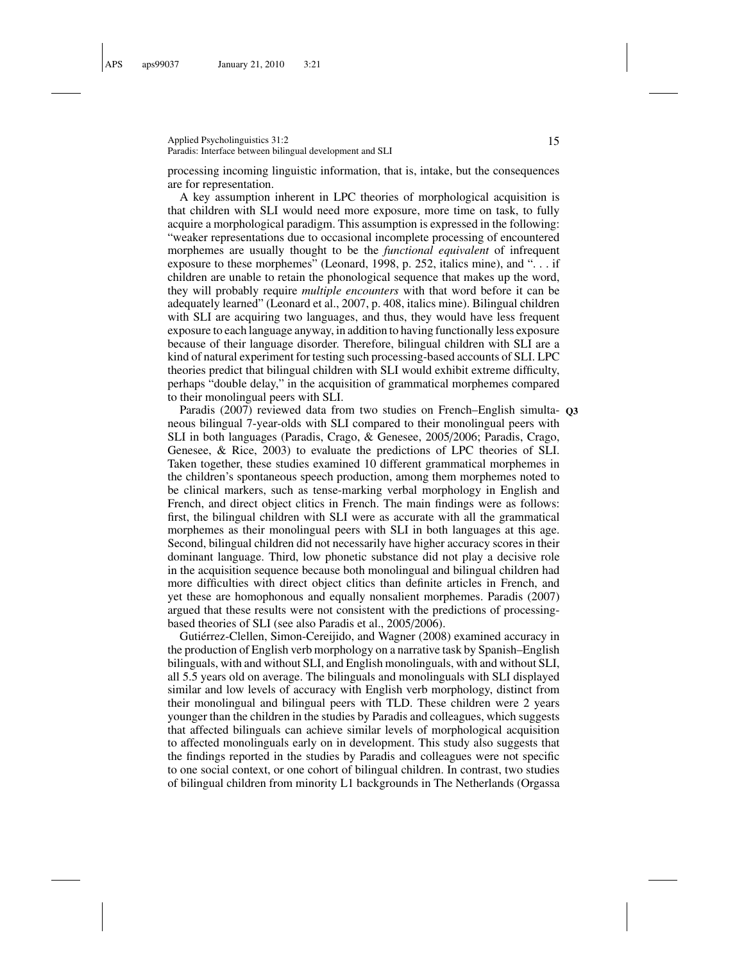Applied Psycholinguistics 31:2 15 Paradis: Interface between bilingual development and SLI

processing incoming linguistic information, that is, intake, but the consequences are for representation.

A key assumption inherent in LPC theories of morphological acquisition is that children with SLI would need more exposure, more time on task, to fully acquire a morphological paradigm. This assumption is expressed in the following: "weaker representations due to occasional incomplete processing of encountered morphemes are usually thought to be the *functional equivalent* of infrequent exposure to these morphemes" (Leonard, 1998, p. 252, italics mine), and ". . . if children are unable to retain the phonological sequence that makes up the word, they will probably require *multiple encounters* with that word before it can be adequately learned" (Leonard et al., 2007, p. 408, italics mine). Bilingual children with SLI are acquiring two languages, and thus, they would have less frequent exposure to each language anyway, in addition to having functionally less exposure because of their language disorder. Therefore, bilingual children with SLI are a kind of natural experiment for testing such processing-based accounts of SLI. LPC theories predict that bilingual children with SLI would exhibit extreme difficulty, perhaps "double delay," in the acquisition of grammatical morphemes compared to their monolingual peers with SLI.

Paradis (2007) reviewed data from two studies on French–English simulta- **Q3** neous bilingual 7-year-olds with SLI compared to their monolingual peers with SLI in both languages (Paradis, Crago, & Genesee, 2005/2006; Paradis, Crago, Genesee, & Rice, 2003) to evaluate the predictions of LPC theories of SLI. Taken together, these studies examined 10 different grammatical morphemes in the children's spontaneous speech production, among them morphemes noted to be clinical markers, such as tense-marking verbal morphology in English and French, and direct object clitics in French. The main findings were as follows: first, the bilingual children with SLI were as accurate with all the grammatical morphemes as their monolingual peers with SLI in both languages at this age. Second, bilingual children did not necessarily have higher accuracy scores in their dominant language. Third, low phonetic substance did not play a decisive role in the acquisition sequence because both monolingual and bilingual children had more difficulties with direct object clitics than definite articles in French, and yet these are homophonous and equally nonsalient morphemes. Paradis (2007) argued that these results were not consistent with the predictions of processingbased theories of SLI (see also Paradis et al., 2005/2006).

Gutiérrez-Clellen, Simon-Cereijido, and Wagner (2008) examined accuracy in the production of English verb morphology on a narrative task by Spanish–English bilinguals, with and without SLI, and English monolinguals, with and without SLI, all 5.5 years old on average. The bilinguals and monolinguals with SLI displayed similar and low levels of accuracy with English verb morphology, distinct from their monolingual and bilingual peers with TLD. These children were 2 years younger than the children in the studies by Paradis and colleagues, which suggests that affected bilinguals can achieve similar levels of morphological acquisition to affected monolinguals early on in development. This study also suggests that the findings reported in the studies by Paradis and colleagues were not specific to one social context, or one cohort of bilingual children. In contrast, two studies of bilingual children from minority L1 backgrounds in The Netherlands (Orgassa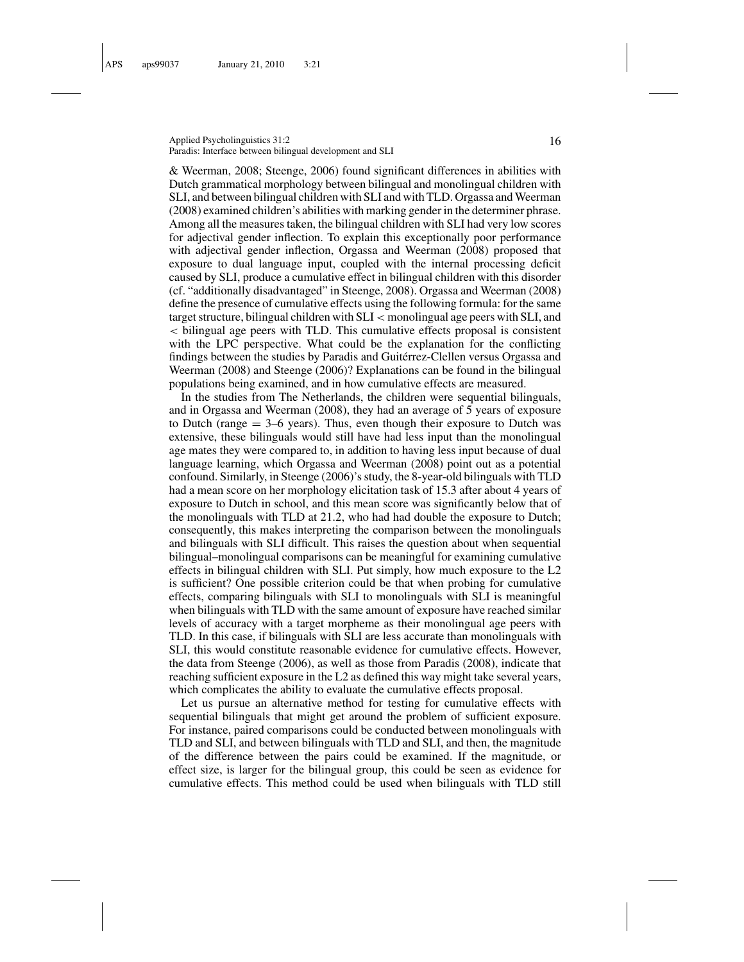#### Applied Psycholinguistics 31:2 16 Paradis: Interface between bilingual development and SLI

& Weerman, 2008; Steenge, 2006) found significant differences in abilities with Dutch grammatical morphology between bilingual and monolingual children with SLI, and between bilingual children with SLI and with TLD. Orgassa and Weerman (2008) examined children's abilities with marking gender in the determiner phrase. Among all the measures taken, the bilingual children with SLI had very low scores for adjectival gender inflection. To explain this exceptionally poor performance with adjectival gender inflection, Orgassa and Weerman (2008) proposed that exposure to dual language input, coupled with the internal processing deficit caused by SLI, produce a cumulative effect in bilingual children with this disorder (cf. "additionally disadvantaged" in Steenge, 2008). Orgassa and Weerman (2008) define the presence of cumulative effects using the following formula: for the same target structure, bilingual children with SLI *<* monolingual age peers with SLI, and *<* bilingual age peers with TLD. This cumulative effects proposal is consistent with the LPC perspective. What could be the explanation for the conflicting findings between the studies by Paradis and Guitérrez-Clellen versus Orgassa and Weerman (2008) and Steenge (2006)? Explanations can be found in the bilingual populations being examined, and in how cumulative effects are measured.

In the studies from The Netherlands, the children were sequential bilinguals, and in Orgassa and Weerman (2008), they had an average of 5 years of exposure to Dutch (range  $= 3-6$  years). Thus, even though their exposure to Dutch was extensive, these bilinguals would still have had less input than the monolingual age mates they were compared to, in addition to having less input because of dual language learning, which Orgassa and Weerman (2008) point out as a potential confound. Similarly, in Steenge (2006)'s study, the 8-year-old bilinguals with TLD had a mean score on her morphology elicitation task of 15.3 after about 4 years of exposure to Dutch in school, and this mean score was significantly below that of the monolinguals with TLD at 21.2, who had had double the exposure to Dutch; consequently, this makes interpreting the comparison between the monolinguals and bilinguals with SLI difficult. This raises the question about when sequential bilingual–monolingual comparisons can be meaningful for examining cumulative effects in bilingual children with SLI. Put simply, how much exposure to the L2 is sufficient? One possible criterion could be that when probing for cumulative effects, comparing bilinguals with SLI to monolinguals with SLI is meaningful when bilinguals with TLD with the same amount of exposure have reached similar levels of accuracy with a target morpheme as their monolingual age peers with TLD. In this case, if bilinguals with SLI are less accurate than monolinguals with SLI, this would constitute reasonable evidence for cumulative effects. However, the data from Steenge (2006), as well as those from Paradis (2008), indicate that reaching sufficient exposure in the L2 as defined this way might take several years, which complicates the ability to evaluate the cumulative effects proposal.

Let us pursue an alternative method for testing for cumulative effects with sequential bilinguals that might get around the problem of sufficient exposure. For instance, paired comparisons could be conducted between monolinguals with TLD and SLI, and between bilinguals with TLD and SLI, and then, the magnitude of the difference between the pairs could be examined. If the magnitude, or effect size, is larger for the bilingual group, this could be seen as evidence for cumulative effects. This method could be used when bilinguals with TLD still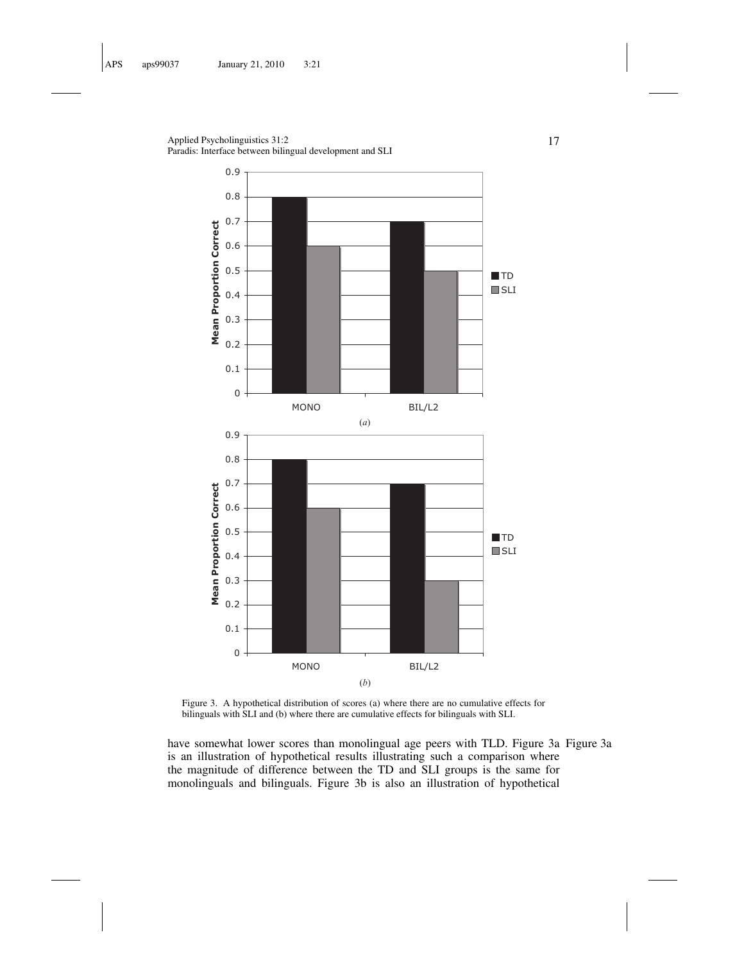

Applied Psycholinguistics 31:2 17 Paradis: Interface between bilingual development and SLI

Figure 3. A hypothetical distribution of scores (a) where there are no cumulative effects for bilinguals with SLI and (b) where there are cumulative effects for bilinguals with SLI.

have somewhat lower scores than monolingual age peers with TLD. Figure 3a Figure 3a is an illustration of hypothetical results illustrating such a comparison where the magnitude of difference between the TD and SLI groups is the same for monolinguals and bilinguals. Figure 3b is also an illustration of hypothetical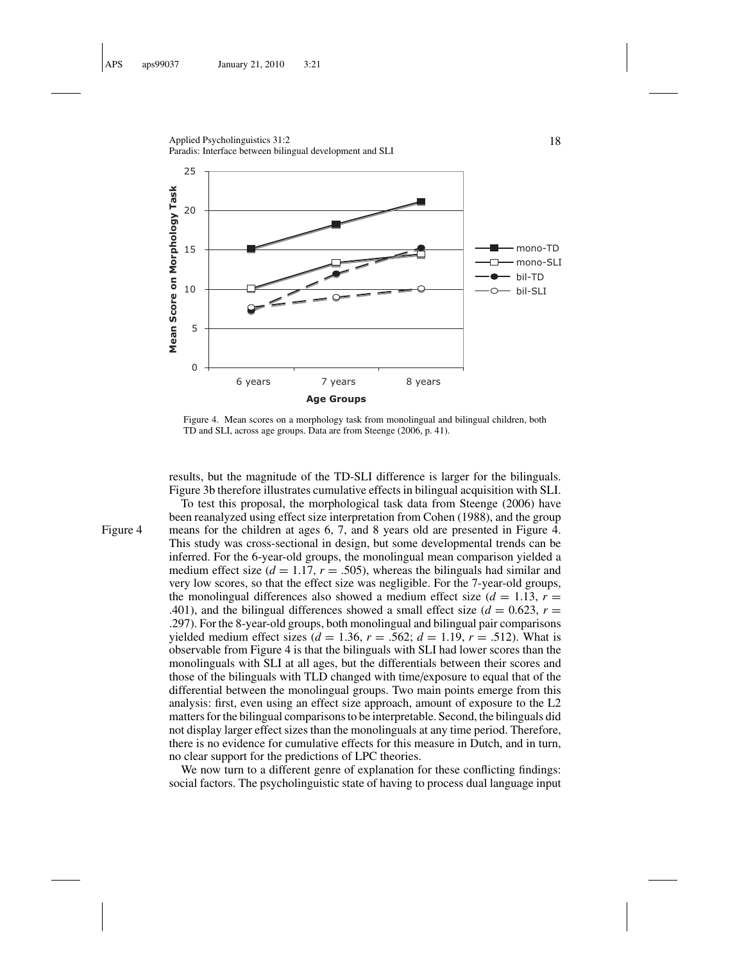

Figure 4. Mean scores on a morphology task from monolingual and bilingual children, both TD and SLI, across age groups. Data are from Steenge (2006, p. 41).

results, but the magnitude of the TD-SLI difference is larger for the bilinguals. Figure 3b therefore illustrates cumulative effects in bilingual acquisition with SLI. To test this proposal, the morphological task data from Steenge (2006) have

been reanalyzed using effect size interpretation from Cohen (1988), and the group Figure 4 means for the children at ages 6, 7, and 8 years old are presented in Figure 4. This study was cross-sectional in design, but some developmental trends can be inferred. For the 6-year-old groups, the monolingual mean comparison yielded a medium effect size  $(d = 1.17, r = .505)$ , whereas the bilinguals had similar and very low scores, so that the effect size was negligible. For the 7-year-old groups, the monolingual differences also showed a medium effect size  $(d = 1.13, r =$ .401), and the bilingual differences showed a small effect size  $(d = 0.623, r =$ .297). For the 8-year-old groups, both monolingual and bilingual pair comparisons yielded medium effect sizes ( $d = 1.36$ ,  $r = .562$ ;  $d = 1.19$ ,  $r = .512$ ). What is observable from Figure 4 is that the bilinguals with SLI had lower scores than the monolinguals with SLI at all ages, but the differentials between their scores and those of the bilinguals with TLD changed with time/exposure to equal that of the differential between the monolingual groups. Two main points emerge from this analysis: first, even using an effect size approach, amount of exposure to the L2 matters for the bilingual comparisons to be interpretable. Second, the bilinguals did not display larger effect sizes than the monolinguals at any time period. Therefore, there is no evidence for cumulative effects for this measure in Dutch, and in turn, no clear support for the predictions of LPC theories.

> We now turn to a different genre of explanation for these conflicting findings: social factors. The psycholinguistic state of having to process dual language input

> Applied Psycholinguistics 31:2 18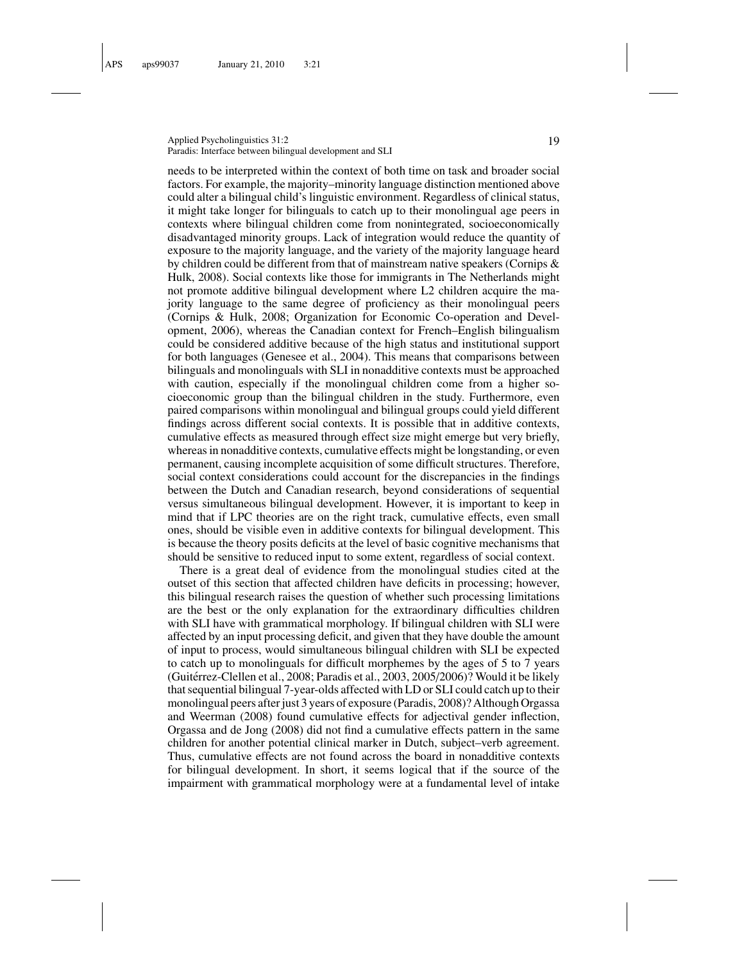#### Applied Psycholinguistics 31:2 19 Paradis: Interface between bilingual development and SLI

needs to be interpreted within the context of both time on task and broader social factors. For example, the majority–minority language distinction mentioned above could alter a bilingual child's linguistic environment. Regardless of clinical status, it might take longer for bilinguals to catch up to their monolingual age peers in contexts where bilingual children come from nonintegrated, socioeconomically disadvantaged minority groups. Lack of integration would reduce the quantity of exposure to the majority language, and the variety of the majority language heard by children could be different from that of mainstream native speakers (Cornips & Hulk, 2008). Social contexts like those for immigrants in The Netherlands might not promote additive bilingual development where L2 children acquire the majority language to the same degree of proficiency as their monolingual peers (Cornips & Hulk, 2008; Organization for Economic Co-operation and Development, 2006), whereas the Canadian context for French–English bilingualism could be considered additive because of the high status and institutional support for both languages (Genesee et al., 2004). This means that comparisons between bilinguals and monolinguals with SLI in nonadditive contexts must be approached with caution, especially if the monolingual children come from a higher socioeconomic group than the bilingual children in the study. Furthermore, even paired comparisons within monolingual and bilingual groups could yield different findings across different social contexts. It is possible that in additive contexts, cumulative effects as measured through effect size might emerge but very briefly, whereas in nonadditive contexts, cumulative effects might be longstanding, or even permanent, causing incomplete acquisition of some difficult structures. Therefore, social context considerations could account for the discrepancies in the findings between the Dutch and Canadian research, beyond considerations of sequential versus simultaneous bilingual development. However, it is important to keep in mind that if LPC theories are on the right track, cumulative effects, even small ones, should be visible even in additive contexts for bilingual development. This is because the theory posits deficits at the level of basic cognitive mechanisms that should be sensitive to reduced input to some extent, regardless of social context.

There is a great deal of evidence from the monolingual studies cited at the outset of this section that affected children have deficits in processing; however, this bilingual research raises the question of whether such processing limitations are the best or the only explanation for the extraordinary difficulties children with SLI have with grammatical morphology. If bilingual children with SLI were affected by an input processing deficit, and given that they have double the amount of input to process, would simultaneous bilingual children with SLI be expected to catch up to monolinguals for difficult morphemes by the ages of 5 to 7 years (Guitérrez-Clellen et al., 2008; Paradis et al., 2003, 2005/2006)? Would it be likely that sequential bilingual 7-year-olds affected with LD or SLI could catch up to their monolingual peers after just 3 years of exposure (Paradis, 2008)? Although Orgassa and Weerman (2008) found cumulative effects for adjectival gender inflection, Orgassa and de Jong (2008) did not find a cumulative effects pattern in the same children for another potential clinical marker in Dutch, subject–verb agreement. Thus, cumulative effects are not found across the board in nonadditive contexts for bilingual development. In short, it seems logical that if the source of the impairment with grammatical morphology were at a fundamental level of intake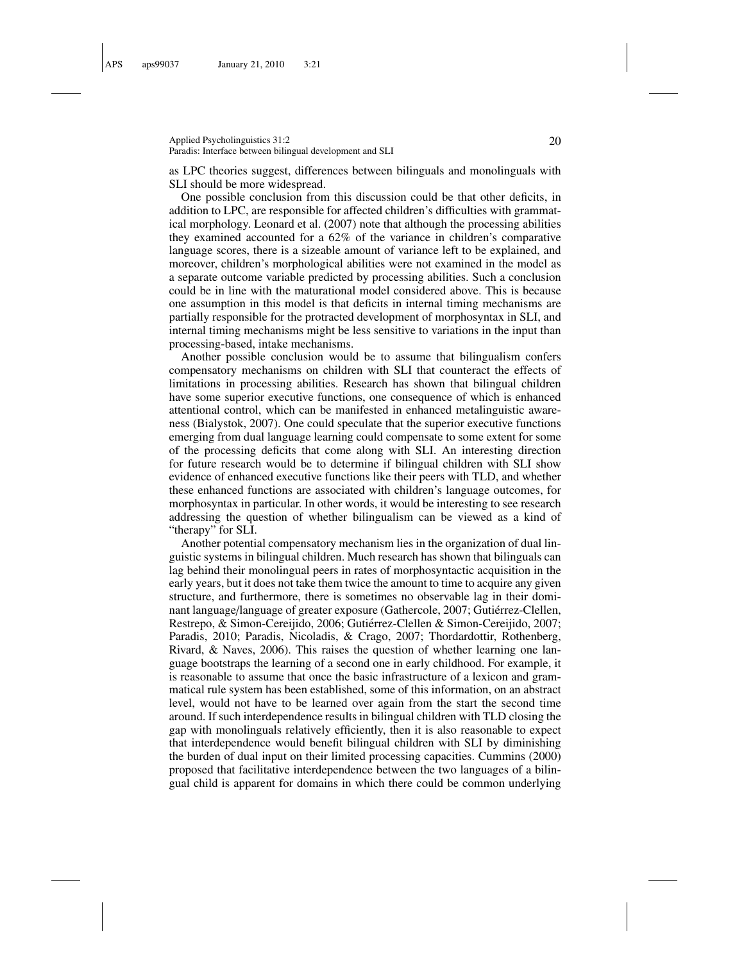Applied Psycholinguistics 31:2 20 Paradis: Interface between bilingual development and SLI

as LPC theories suggest, differences between bilinguals and monolinguals with SLI should be more widespread.

One possible conclusion from this discussion could be that other deficits, in addition to LPC, are responsible for affected children's difficulties with grammatical morphology. Leonard et al. (2007) note that although the processing abilities they examined accounted for a 62% of the variance in children's comparative language scores, there is a sizeable amount of variance left to be explained, and moreover, children's morphological abilities were not examined in the model as a separate outcome variable predicted by processing abilities. Such a conclusion could be in line with the maturational model considered above. This is because one assumption in this model is that deficits in internal timing mechanisms are partially responsible for the protracted development of morphosyntax in SLI, and internal timing mechanisms might be less sensitive to variations in the input than processing-based, intake mechanisms.

Another possible conclusion would be to assume that bilingualism confers compensatory mechanisms on children with SLI that counteract the effects of limitations in processing abilities. Research has shown that bilingual children have some superior executive functions, one consequence of which is enhanced attentional control, which can be manifested in enhanced metalinguistic awareness (Bialystok, 2007). One could speculate that the superior executive functions emerging from dual language learning could compensate to some extent for some of the processing deficits that come along with SLI. An interesting direction for future research would be to determine if bilingual children with SLI show evidence of enhanced executive functions like their peers with TLD, and whether these enhanced functions are associated with children's language outcomes, for morphosyntax in particular. In other words, it would be interesting to see research addressing the question of whether bilingualism can be viewed as a kind of "therapy" for SLI.

Another potential compensatory mechanism lies in the organization of dual linguistic systems in bilingual children. Much research has shown that bilinguals can lag behind their monolingual peers in rates of morphosyntactic acquisition in the early years, but it does not take them twice the amount to time to acquire any given structure, and furthermore, there is sometimes no observable lag in their dominant language/language of greater exposure (Gathercole, 2007; Gutiérrez-Clellen, Restrepo, & Simon-Cereijido, 2006; Gutierrez-Clellen & Simon-Cereijido, 2007; ´ Paradis, 2010; Paradis, Nicoladis, & Crago, 2007; Thordardottir, Rothenberg, Rivard, & Naves, 2006). This raises the question of whether learning one language bootstraps the learning of a second one in early childhood. For example, it is reasonable to assume that once the basic infrastructure of a lexicon and grammatical rule system has been established, some of this information, on an abstract level, would not have to be learned over again from the start the second time around. If such interdependence results in bilingual children with TLD closing the gap with monolinguals relatively efficiently, then it is also reasonable to expect that interdependence would benefit bilingual children with SLI by diminishing the burden of dual input on their limited processing capacities. Cummins (2000) proposed that facilitative interdependence between the two languages of a bilingual child is apparent for domains in which there could be common underlying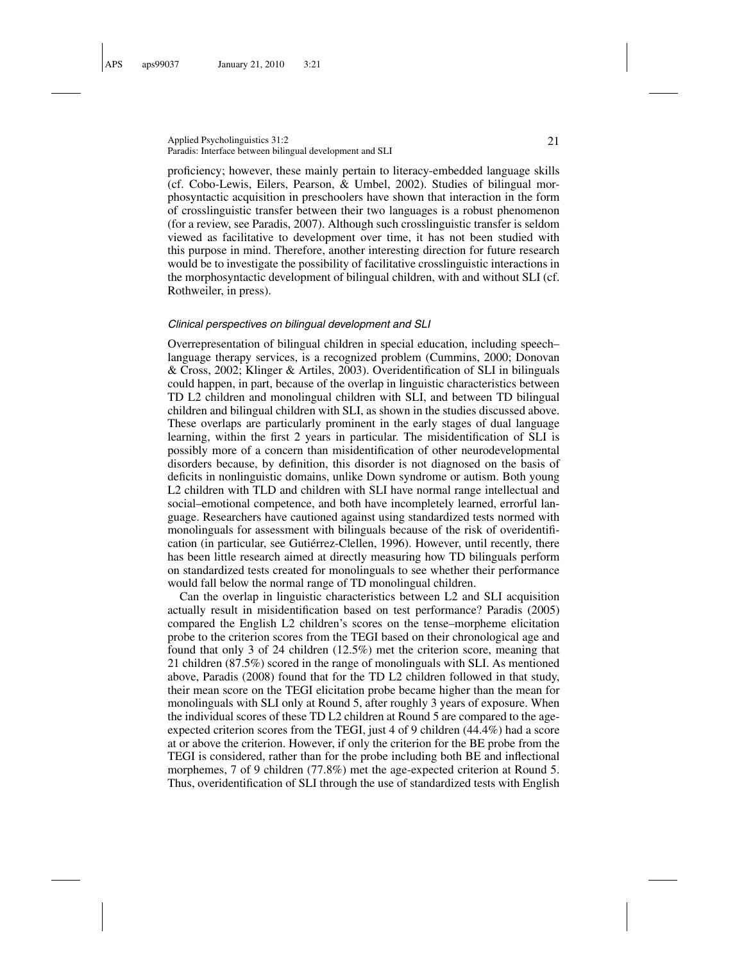#### Applied Psycholinguistics 31:2 21 Paradis: Interface between bilingual development and SLI

proficiency; however, these mainly pertain to literacy-embedded language skills (cf. Cobo-Lewis, Eilers, Pearson, & Umbel, 2002). Studies of bilingual morphosyntactic acquisition in preschoolers have shown that interaction in the form of crosslinguistic transfer between their two languages is a robust phenomenon (for a review, see Paradis, 2007). Although such crosslinguistic transfer is seldom viewed as facilitative to development over time, it has not been studied with this purpose in mind. Therefore, another interesting direction for future research would be to investigate the possibility of facilitative crosslinguistic interactions in the morphosyntactic development of bilingual children, with and without SLI (cf. Rothweiler, in press).

#### Clinical perspectives on bilingual development and SLI

Overrepresentation of bilingual children in special education, including speech– language therapy services, is a recognized problem (Cummins, 2000; Donovan & Cross, 2002; Klinger & Artiles, 2003). Overidentification of SLI in bilinguals could happen, in part, because of the overlap in linguistic characteristics between TD L2 children and monolingual children with SLI, and between TD bilingual children and bilingual children with SLI, as shown in the studies discussed above. These overlaps are particularly prominent in the early stages of dual language learning, within the first 2 years in particular. The misidentification of SLI is possibly more of a concern than misidentification of other neurodevelopmental disorders because, by definition, this disorder is not diagnosed on the basis of deficits in nonlinguistic domains, unlike Down syndrome or autism. Both young L2 children with TLD and children with SLI have normal range intellectual and social–emotional competence, and both have incompletely learned, errorful language. Researchers have cautioned against using standardized tests normed with monolinguals for assessment with bilinguals because of the risk of overidentification (in particular, see Gutierrez-Clellen, 1996). However, until recently, there ´ has been little research aimed at directly measuring how TD bilinguals perform on standardized tests created for monolinguals to see whether their performance would fall below the normal range of TD monolingual children.

Can the overlap in linguistic characteristics between L2 and SLI acquisition actually result in misidentification based on test performance? Paradis (2005) compared the English L2 children's scores on the tense–morpheme elicitation probe to the criterion scores from the TEGI based on their chronological age and found that only 3 of 24 children (12.5%) met the criterion score, meaning that 21 children (87.5%) scored in the range of monolinguals with SLI. As mentioned above, Paradis (2008) found that for the TD L2 children followed in that study, their mean score on the TEGI elicitation probe became higher than the mean for monolinguals with SLI only at Round 5, after roughly 3 years of exposure. When the individual scores of these TD L2 children at Round 5 are compared to the ageexpected criterion scores from the TEGI, just 4 of 9 children (44.4%) had a score at or above the criterion. However, if only the criterion for the BE probe from the TEGI is considered, rather than for the probe including both BE and inflectional morphemes, 7 of 9 children (77.8%) met the age-expected criterion at Round 5. Thus, overidentification of SLI through the use of standardized tests with English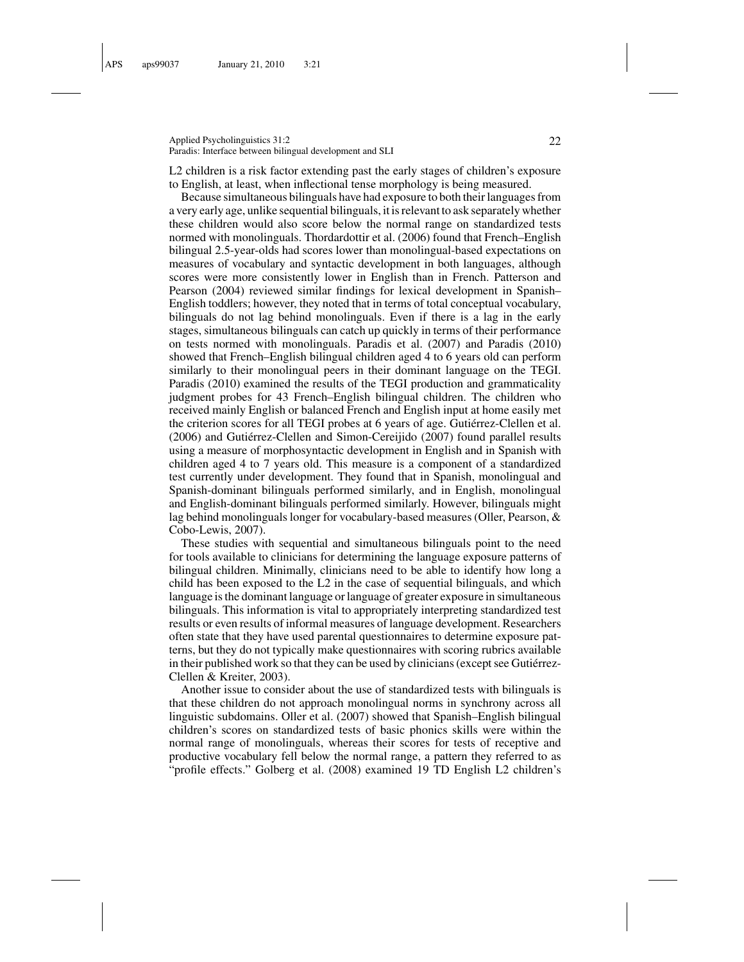#### Applied Psycholinguistics 31:2 22 Paradis: Interface between bilingual development and SLI

L2 children is a risk factor extending past the early stages of children's exposure to English, at least, when inflectional tense morphology is being measured.

Because simultaneous bilinguals have had exposure to both their languages from a very early age, unlike sequential bilinguals, it is relevant to ask separately whether these children would also score below the normal range on standardized tests normed with monolinguals. Thordardottir et al. (2006) found that French–English bilingual 2.5-year-olds had scores lower than monolingual-based expectations on measures of vocabulary and syntactic development in both languages, although scores were more consistently lower in English than in French. Patterson and Pearson (2004) reviewed similar findings for lexical development in Spanish– English toddlers; however, they noted that in terms of total conceptual vocabulary, bilinguals do not lag behind monolinguals. Even if there is a lag in the early stages, simultaneous bilinguals can catch up quickly in terms of their performance on tests normed with monolinguals. Paradis et al. (2007) and Paradis (2010) showed that French–English bilingual children aged 4 to 6 years old can perform similarly to their monolingual peers in their dominant language on the TEGI. Paradis (2010) examined the results of the TEGI production and grammaticality judgment probes for 43 French–English bilingual children. The children who received mainly English or balanced French and English input at home easily met the criterion scores for all TEGI probes at 6 years of age. Gutiérrez-Clellen et al. (2006) and Gutierrez-Clellen and Simon-Cereijido (2007) found parallel results ´ using a measure of morphosyntactic development in English and in Spanish with children aged 4 to 7 years old. This measure is a component of a standardized test currently under development. They found that in Spanish, monolingual and Spanish-dominant bilinguals performed similarly, and in English, monolingual and English-dominant bilinguals performed similarly. However, bilinguals might lag behind monolinguals longer for vocabulary-based measures (Oller, Pearson, & Cobo-Lewis, 2007).

These studies with sequential and simultaneous bilinguals point to the need for tools available to clinicians for determining the language exposure patterns of bilingual children. Minimally, clinicians need to be able to identify how long a child has been exposed to the L2 in the case of sequential bilinguals, and which language is the dominant language or language of greater exposure in simultaneous bilinguals. This information is vital to appropriately interpreting standardized test results or even results of informal measures of language development. Researchers often state that they have used parental questionnaires to determine exposure patterns, but they do not typically make questionnaires with scoring rubrics available in their published work so that they can be used by clinicians (except see Gutiérrez-Clellen & Kreiter, 2003).

Another issue to consider about the use of standardized tests with bilinguals is that these children do not approach monolingual norms in synchrony across all linguistic subdomains. Oller et al. (2007) showed that Spanish–English bilingual children's scores on standardized tests of basic phonics skills were within the normal range of monolinguals, whereas their scores for tests of receptive and productive vocabulary fell below the normal range, a pattern they referred to as "profile effects." Golberg et al. (2008) examined 19 TD English L2 children's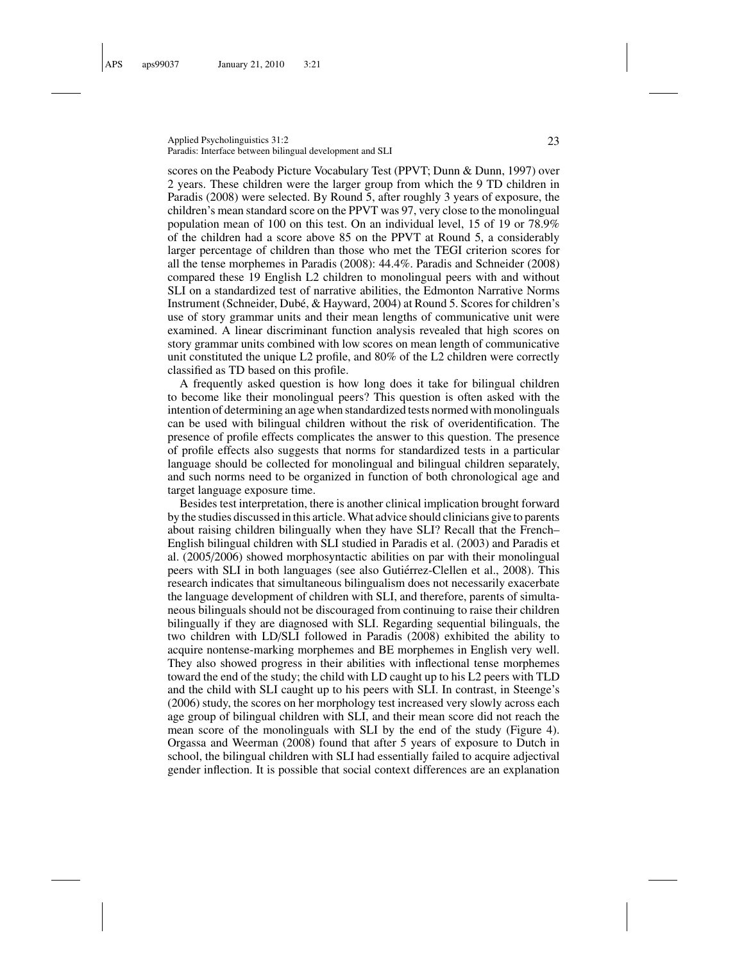#### Applied Psycholinguistics 31:2 23 Paradis: Interface between bilingual development and SLI

scores on the Peabody Picture Vocabulary Test (PPVT; Dunn & Dunn, 1997) over 2 years. These children were the larger group from which the 9 TD children in Paradis (2008) were selected. By Round 5, after roughly 3 years of exposure, the children's mean standard score on the PPVT was 97, very close to the monolingual population mean of 100 on this test. On an individual level, 15 of 19 or 78.9% of the children had a score above 85 on the PPVT at Round 5, a considerably larger percentage of children than those who met the TEGI criterion scores for all the tense morphemes in Paradis (2008): 44.4%. Paradis and Schneider (2008) compared these 19 English L2 children to monolingual peers with and without SLI on a standardized test of narrative abilities, the Edmonton Narrative Norms Instrument (Schneider, Dube, & Hayward, 2004) at Round 5. Scores for children's ´ use of story grammar units and their mean lengths of communicative unit were examined. A linear discriminant function analysis revealed that high scores on story grammar units combined with low scores on mean length of communicative unit constituted the unique L2 profile, and 80% of the L2 children were correctly classified as TD based on this profile.

A frequently asked question is how long does it take for bilingual children to become like their monolingual peers? This question is often asked with the intention of determining an age when standardized tests normed with monolinguals can be used with bilingual children without the risk of overidentification. The presence of profile effects complicates the answer to this question. The presence of profile effects also suggests that norms for standardized tests in a particular language should be collected for monolingual and bilingual children separately, and such norms need to be organized in function of both chronological age and target language exposure time.

Besides test interpretation, there is another clinical implication brought forward by the studies discussed in this article. What advice should clinicians give to parents about raising children bilingually when they have SLI? Recall that the French– English bilingual children with SLI studied in Paradis et al. (2003) and Paradis et al. (2005/2006) showed morphosyntactic abilities on par with their monolingual peers with SLI in both languages (see also Gutierrez-Clellen et al., 2008). This ´ research indicates that simultaneous bilingualism does not necessarily exacerbate the language development of children with SLI, and therefore, parents of simultaneous bilinguals should not be discouraged from continuing to raise their children bilingually if they are diagnosed with SLI. Regarding sequential bilinguals, the two children with LD/SLI followed in Paradis (2008) exhibited the ability to acquire nontense-marking morphemes and BE morphemes in English very well. They also showed progress in their abilities with inflectional tense morphemes toward the end of the study; the child with LD caught up to his L2 peers with TLD and the child with SLI caught up to his peers with SLI. In contrast, in Steenge's (2006) study, the scores on her morphology test increased very slowly across each age group of bilingual children with SLI, and their mean score did not reach the mean score of the monolinguals with SLI by the end of the study (Figure 4). Orgassa and Weerman (2008) found that after 5 years of exposure to Dutch in school, the bilingual children with SLI had essentially failed to acquire adjectival gender inflection. It is possible that social context differences are an explanation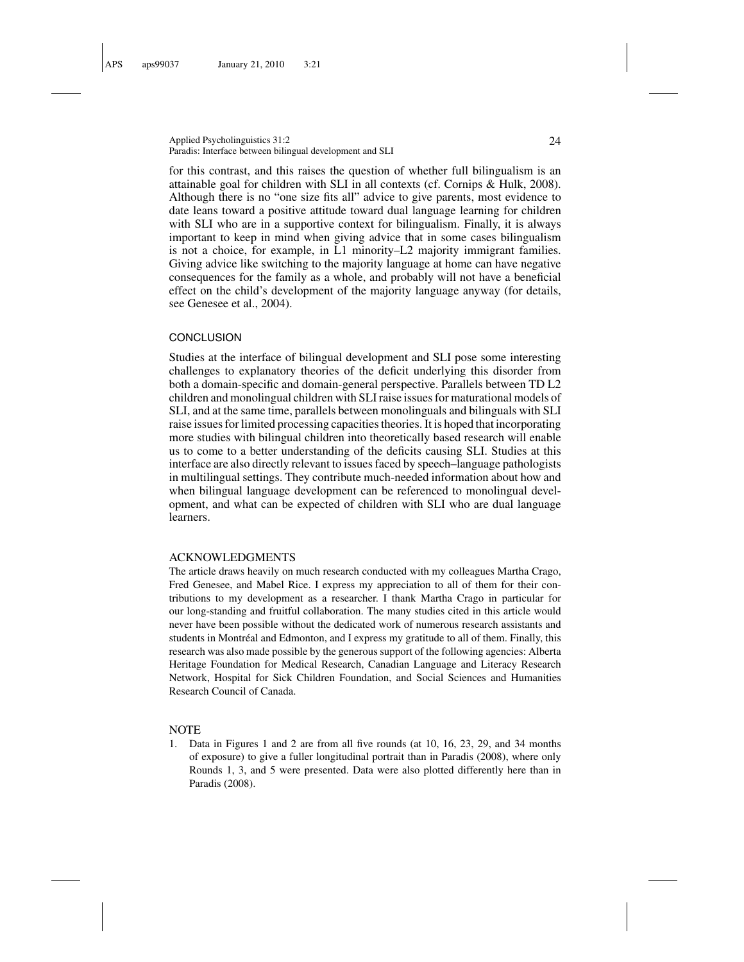#### Applied Psycholinguistics 31:2 24 Paradis: Interface between bilingual development and SLI

for this contrast, and this raises the question of whether full bilingualism is an attainable goal for children with SLI in all contexts (cf. Cornips & Hulk, 2008). Although there is no "one size fits all" advice to give parents, most evidence to date leans toward a positive attitude toward dual language learning for children with SLI who are in a supportive context for bilingualism. Finally, it is always important to keep in mind when giving advice that in some cases bilingualism is not a choice, for example, in L1 minority–L2 majority immigrant families. Giving advice like switching to the majority language at home can have negative consequences for the family as a whole, and probably will not have a beneficial effect on the child's development of the majority language anyway (for details, see Genesee et al., 2004).

#### **CONCLUSION**

Studies at the interface of bilingual development and SLI pose some interesting challenges to explanatory theories of the deficit underlying this disorder from both a domain-specific and domain-general perspective. Parallels between TD L2 children and monolingual children with SLI raise issues for maturational models of SLI, and at the same time, parallels between monolinguals and bilinguals with SLI raise issues for limited processing capacities theories. It is hoped that incorporating more studies with bilingual children into theoretically based research will enable us to come to a better understanding of the deficits causing SLI. Studies at this interface are also directly relevant to issues faced by speech–language pathologists in multilingual settings. They contribute much-needed information about how and when bilingual language development can be referenced to monolingual development, and what can be expected of children with SLI who are dual language learners.

#### ACKNOWLEDGMENTS

The article draws heavily on much research conducted with my colleagues Martha Crago, Fred Genesee, and Mabel Rice. I express my appreciation to all of them for their contributions to my development as a researcher. I thank Martha Crago in particular for our long-standing and fruitful collaboration. The many studies cited in this article would never have been possible without the dedicated work of numerous research assistants and students in Montréal and Edmonton, and I express my gratitude to all of them. Finally, this research was also made possible by the generous support of the following agencies: Alberta Heritage Foundation for Medical Research, Canadian Language and Literacy Research Network, Hospital for Sick Children Foundation, and Social Sciences and Humanities Research Council of Canada.

#### NOTE

1. Data in Figures 1 and 2 are from all five rounds (at 10, 16, 23, 29, and 34 months of exposure) to give a fuller longitudinal portrait than in Paradis (2008), where only Rounds 1, 3, and 5 were presented. Data were also plotted differently here than in Paradis (2008).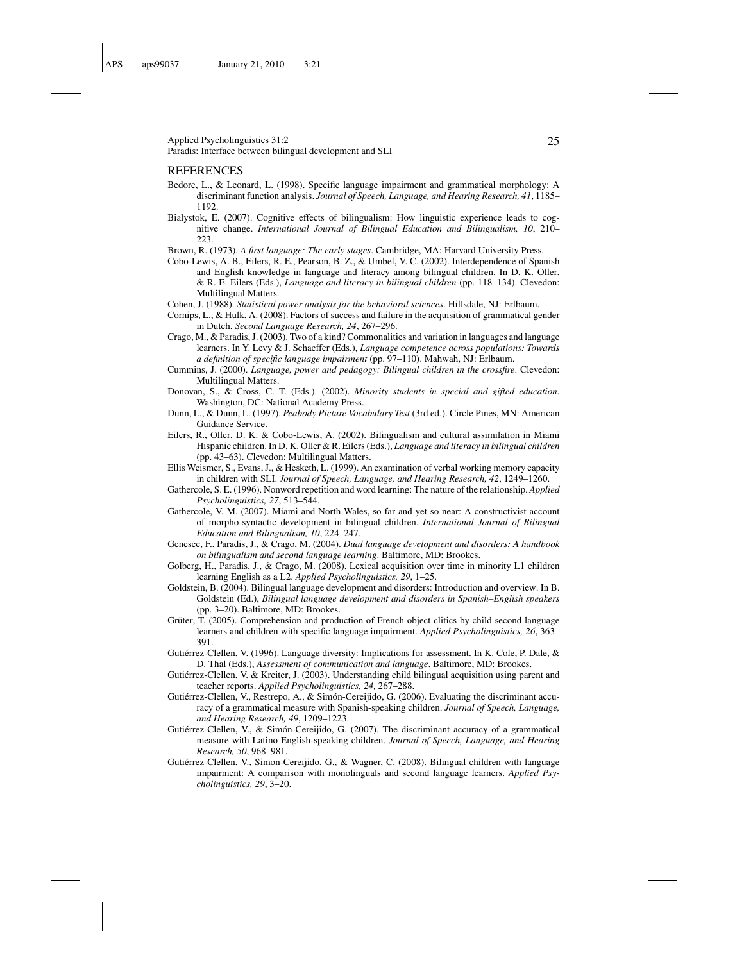Applied Psycholinguistics 31:2 25 Paradis: Interface between bilingual development and SLI

#### REFERENCES

- Bedore, L., & Leonard, L. (1998). Specific language impairment and grammatical morphology: A discriminant function analysis. *Journal of Speech, Language, and Hearing Research, 41*, 1185– 1192.
- Bialystok, E. (2007). Cognitive effects of bilingualism: How linguistic experience leads to cognitive change. *International Journal of Bilingual Education and Bilingualism, 10*, 210– 223.

Brown, R. (1973). *A first language: The early stages*. Cambridge, MA: Harvard University Press.

Cobo-Lewis, A. B., Eilers, R. E., Pearson, B. Z., & Umbel, V. C. (2002). Interdependence of Spanish and English knowledge in language and literacy among bilingual children. In D. K. Oller, & R. E. Eilers (Eds.), *Language and literacy in bilingual children* (pp. 118–134). Clevedon: Multilingual Matters.

Cohen, J. (1988). *Statistical power analysis for the behavioral sciences*. Hillsdale, NJ: Erlbaum.

- Cornips, L., & Hulk, A. (2008). Factors of success and failure in the acquisition of grammatical gender in Dutch. *Second Language Research, 24*, 267–296.
- Crago, M., & Paradis, J. (2003). Two of a kind? Commonalities and variation in languages and language learners. In Y. Levy & J. Schaeffer (Eds.), *Language competence across populations: Towards a definition of specific language impairment* (pp. 97–110). Mahwah, NJ: Erlbaum.
- Cummins, J. (2000). *Language, power and pedagogy: Bilingual children in the crossfire*. Clevedon: Multilingual Matters.
- Donovan, S., & Cross, C. T. (Eds.). (2002). *Minority students in special and gifted education*. Washington, DC: National Academy Press.
- Dunn, L., & Dunn, L. (1997). *Peabody Picture Vocabulary Test* (3rd ed.). Circle Pines, MN: American Guidance Service.
- Eilers, R., Oller, D. K. & Cobo-Lewis, A. (2002). Bilingualism and cultural assimilation in Miami Hispanic children. In D. K. Oller & R. Eilers (Eds.), *Language and literacy in bilingual children* (pp. 43–63). Clevedon: Multilingual Matters.
- Ellis Weismer, S., Evans, J., & Hesketh, L. (1999). An examination of verbal working memory capacity in children with SLI. *Journal of Speech, Language, and Hearing Research, 42*, 1249–1260.
- Gathercole, S. E. (1996). Nonword repetition and word learning: The nature of the relationship. *Applied Psycholinguistics, 27*, 513–544.
- Gathercole, V. M. (2007). Miami and North Wales, so far and yet so near: A constructivist account of morpho-syntactic development in bilingual children. *International Journal of Bilingual Education and Bilingualism, 10*, 224–247.
- Genesee, F., Paradis, J., & Crago, M. (2004). *Dual language development and disorders: A handbook on bilingualism and second language learning*. Baltimore, MD: Brookes.
- Golberg, H., Paradis, J., & Crago, M. (2008). Lexical acquisition over time in minority L1 children learning English as a L2. *Applied Psycholinguistics, 29*, 1–25.
- Goldstein, B. (2004). Bilingual language development and disorders: Introduction and overview. In B. Goldstein (Ed.), *Bilingual language development and disorders in Spanish–English speakers* (pp. 3–20). Baltimore, MD: Brookes.
- Grüter, T. (2005). Comprehension and production of French object clitics by child second language learners and children with specific language impairment. *Applied Psycholinguistics, 26*, 363– 391.
- Gutiérrez-Clellen, V. (1996). Language diversity: Implications for assessment. In K. Cole, P. Dale, & D. Thal (Eds.), *Assessment of communication and language*. Baltimore, MD: Brookes.
- Gutiérrez-Clellen, V. & Kreiter, J. (2003). Understanding child bilingual acquisition using parent and teacher reports. *Applied Psycholinguistics, 24*, 267–288.
- Gutiérrez-Clellen, V., Restrepo, A., & Simón-Cereijido, G. (2006). Evaluating the discriminant accuracy of a grammatical measure with Spanish-speaking children. *Journal of Speech, Language, and Hearing Research, 49*, 1209–1223.
- Gutiérrez-Clellen, V., & Simón-Cereijido, G. (2007). The discriminant accuracy of a grammatical measure with Latino English-speaking children. *Journal of Speech, Language, and Hearing Research, 50*, 968–981.
- Gutierrez-Clellen, V., Simon-Cereijido, G., & Wagner, C. (2008). Bilingual children with language ´ impairment: A comparison with monolinguals and second language learners. *Applied Psycholinguistics, 29*, 3–20.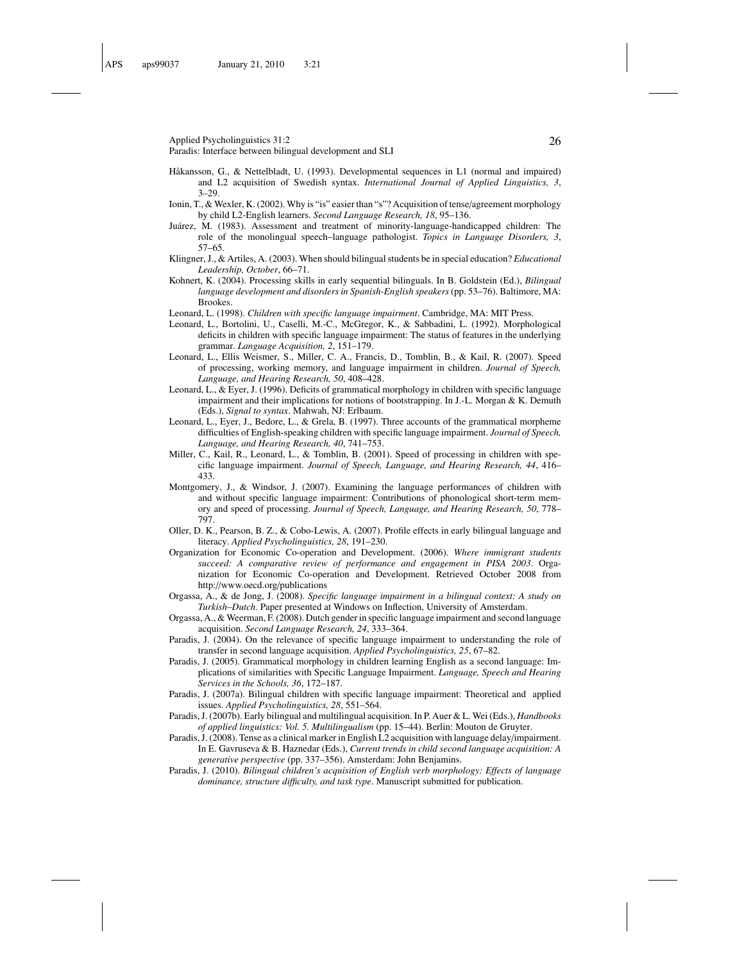Applied Psycholinguistics 31:2 26 Paradis: Interface between bilingual development and SLI

- Håkansson, G., & Nettelbladt, U. (1993). Developmental sequences in L1 (normal and impaired) and L2 acquisition of Swedish syntax. *International Journal of Applied Linguistics, 3*, 3–29.
- Ionin, T., & Wexler, K. (2002). Why is "is" easier than "s"? Acquisition of tense/agreement morphology by child L2-English learners. *Second Language Research, 18*, 95–136.
- Juarez, M. (1983). Assessment and treatment of minority-language-handicapped children: The ´ role of the monolingual speech–language pathologist. *Topics in Language Disorders, 3*, 57–65.
- Klingner, J., & Artiles, A. (2003). When should bilingual students be in special education? *Educational Leadership, October*, 66–71.
- Kohnert, K. (2004). Processing skills in early sequential bilinguals. In B. Goldstein (Ed.), *Bilingual language development and disorders in Spanish-English speakers*(pp. 53–76). Baltimore, MA: Brookes.
- Leonard, L. (1998). *Children with specific language impairment*. Cambridge, MA: MIT Press.
- Leonard, L., Bortolini, U., Caselli, M.-C., McGregor, K., & Sabbadini, L. (1992). Morphological deficits in children with specific language impairment: The status of features in the underlying grammar. *Language Acquisition, 2*, 151–179.
- Leonard, L., Ellis Weismer, S., Miller, C. A., Francis, D., Tomblin, B., & Kail, R. (2007). Speed of processing, working memory, and language impairment in children. *Journal of Speech, Language, and Hearing Research, 50*, 408–428.
- Leonard, L., & Eyer, J. (1996). Deficits of grammatical morphology in children with specific language impairment and their implications for notions of bootstrapping. In J.-L. Morgan & K. Demuth (Eds.), *Signal to syntax*. Mahwah, NJ: Erlbaum.
- Leonard, L., Eyer, J., Bedore, L., & Grela, B. (1997). Three accounts of the grammatical morpheme difficulties of English-speaking children with specific language impairment. *Journal of Speech, Language, and Hearing Research, 40*, 741–753.
- Miller, C., Kail, R., Leonard, L., & Tomblin, B. (2001). Speed of processing in children with specific language impairment. *Journal of Speech, Language, and Hearing Research, 44*, 416– 433.
- Montgomery, J., & Windsor, J. (2007). Examining the language performances of children with and without specific language impairment: Contributions of phonological short-term memory and speed of processing. *Journal of Speech, Language, and Hearing Research, 50*, 778– 797.
- Oller, D. K., Pearson, B. Z., & Cobo-Lewis, A. (2007). Profile effects in early bilingual language and literacy. *Applied Psycholinguistics, 28*, 191–230.
- Organization for Economic Co-operation and Development. (2006). *Where immigrant students succeed: A comparative review of performance and engagement in PISA 2003*. Organization for Economic Co-operation and Development. Retrieved October 2008 from http://www.oecd.org/publications
- Orgassa, A., & de Jong, J. (2008). *Specific language impairment in a bilingual context: A study on Turkish–Dutch*. Paper presented at Windows on Inflection, University of Amsterdam.
- Orgassa, A., & Weerman, F. (2008). Dutch gender in specific language impairment and second language acquisition. *Second Language Research, 24*, 333–364.
- Paradis, J. (2004). On the relevance of specific language impairment to understanding the role of transfer in second language acquisition. *Applied Psycholinguistics, 25*, 67–82.
- Paradis, J. (2005). Grammatical morphology in children learning English as a second language: Implications of similarities with Specific Language Impairment. *Language, Speech and Hearing Services in the Schools, 36*, 172–187.
- Paradis, J. (2007a). Bilingual children with specific language impairment: Theoretical and applied issues. *Applied Psycholinguistics, 28*, 551–564.
- Paradis, J. (2007b). Early bilingual and multilingual acquisition. In P. Auer & L. Wei (Eds.), *Handbooks of applied linguistics: Vol. 5. Multilingualism* (pp. 15–44). Berlin: Mouton de Gruyter.
- Paradis, J. (2008). Tense as a clinical marker in English L2 acquisition with language delay/impairment. In E. Gavruseva & B. Haznedar (Eds.), *Current trends in child second language acquisition: A generative perspective* (pp. 337–356). Amsterdam: John Benjamins.
- Paradis, J. (2010). *Bilingual children's acquisition of English verb morphology: Effects of language dominance, structure difficulty, and task type*. Manuscript submitted for publication.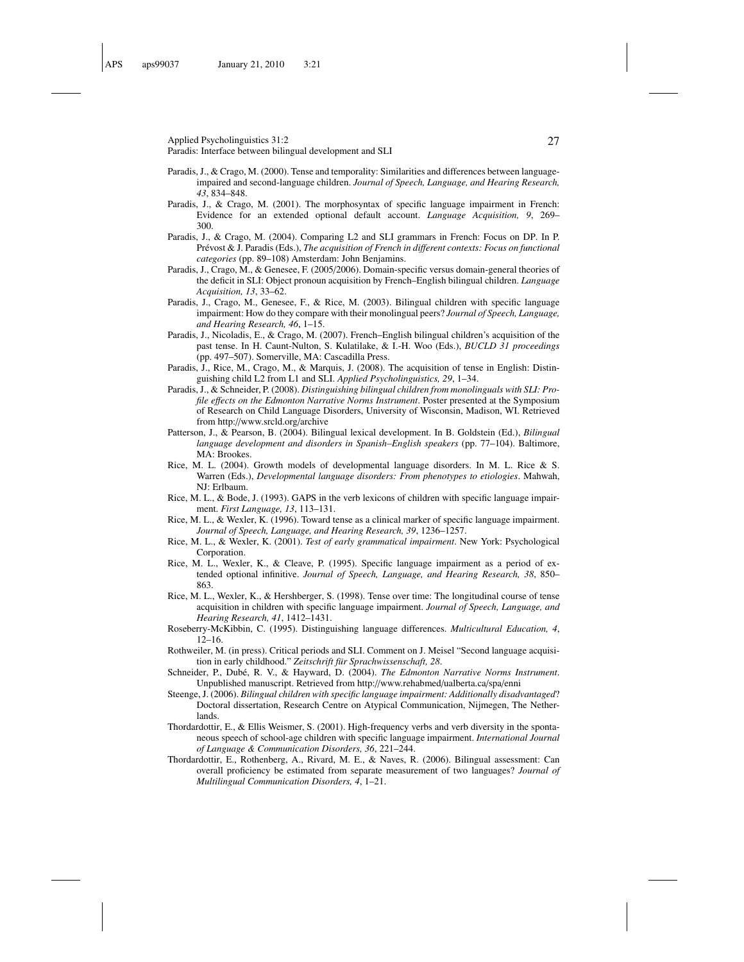Applied Psycholinguistics 31:2 27 Paradis: Interface between bilingual development and SLI

- Paradis, J., & Crago, M. (2000). Tense and temporality: Similarities and differences between languageimpaired and second-language children. *Journal of Speech, Language, and Hearing Research, 43*, 834–848.
- Paradis, J., & Crago, M. (2001). The morphosyntax of specific language impairment in French: Evidence for an extended optional default account. *Language Acquisition, 9*, 269– 300.
- Paradis, J., & Crago, M. (2004). Comparing L2 and SLI grammars in French: Focus on DP. In P. Prévost & J. Paradis (Eds.), *The acquisition of French in different contexts: Focus on functional categories* (pp. 89–108) Amsterdam: John Benjamins.
- Paradis, J., Crago, M., & Genesee, F. (2005/2006). Domain-specific versus domain-general theories of the deficit in SLI: Object pronoun acquisition by French–English bilingual children. *Language Acquisition, 13*, 33–62.
- Paradis, J., Crago, M., Genesee, F., & Rice, M. (2003). Bilingual children with specific language impairment: How do they compare with their monolingual peers? *Journal of Speech, Language, and Hearing Research, 46*, 1–15.
- Paradis, J., Nicoladis, E., & Crago, M. (2007). French–English bilingual children's acquisition of the past tense. In H. Caunt-Nulton, S. Kulatilake, & I.-H. Woo (Eds.), *BUCLD 31 proceedings* (pp. 497–507). Somerville, MA: Cascadilla Press.
- Paradis, J., Rice, M., Crago, M., & Marquis, J. (2008). The acquisition of tense in English: Distinguishing child L2 from L1 and SLI. *Applied Psycholinguistics, 29*, 1–34.
- Paradis, J., & Schneider, P. (2008). *Distinguishing bilingual children from monolinguals with SLI: Profile effects on the Edmonton Narrative Norms Instrument*. Poster presented at the Symposium of Research on Child Language Disorders, University of Wisconsin, Madison, WI. Retrieved from http://www.srcld.org/archive
- Patterson, J., & Pearson, B. (2004). Bilingual lexical development. In B. Goldstein (Ed.), *Bilingual language development and disorders in Spanish–English speakers* (pp. 77–104). Baltimore, MA: Brookes.
- Rice, M. L. (2004). Growth models of developmental language disorders. In M. L. Rice & S. Warren (Eds.), *Developmental language disorders: From phenotypes to etiologies*. Mahwah, NJ: Erlbaum.
- Rice, M. L., & Bode, J. (1993). GAPS in the verb lexicons of children with specific language impairment. *First Language, 13*, 113–131.
- Rice, M. L., & Wexler, K. (1996). Toward tense as a clinical marker of specific language impairment. *Journal of Speech, Language, and Hearing Research, 39*, 1236–1257.
- Rice, M. L., & Wexler, K. (2001). *Test of early grammatical impairment*. New York: Psychological Corporation.
- Rice, M. L., Wexler, K., & Cleave, P. (1995). Specific language impairment as a period of extended optional infinitive. *Journal of Speech, Language, and Hearing Research, 38*, 850– 863.
- Rice, M. L., Wexler, K., & Hershberger, S. (1998). Tense over time: The longitudinal course of tense acquisition in children with specific language impairment. *Journal of Speech, Language, and Hearing Research, 41*, 1412–1431.
- Roseberry-McKibbin, C. (1995). Distinguishing language differences. *Multicultural Education, 4*, 12–16.
- Rothweiler, M. (in press). Critical periods and SLI. Comment on J. Meisel "Second language acquisition in early childhood." *Zeitschrift fur Sprachwissenschaft, 28 ¨* .
- Schneider, P., Dubé, R. V., & Hayward, D. (2004). *The Edmonton Narrative Norms Instrument*. Unpublished manuscript. Retrieved from http://www.rehabmed/ualberta.ca/spa/enni
- Steenge, J. (2006). *Bilingual children with specific language impairment: Additionally disadvantaged*? Doctoral dissertation, Research Centre on Atypical Communication, Nijmegen, The Netherlands.
- Thordardottir, E., & Ellis Weismer, S. (2001). High-frequency verbs and verb diversity in the spontaneous speech of school-age children with specific language impairment. *International Journal of Language & Communication Disorders, 36*, 221–244.
- Thordardottir, E., Rothenberg, A., Rivard, M. E., & Naves, R. (2006). Bilingual assessment: Can overall proficiency be estimated from separate measurement of two languages? *Journal of Multilingual Communication Disorders, 4*, 1–21.